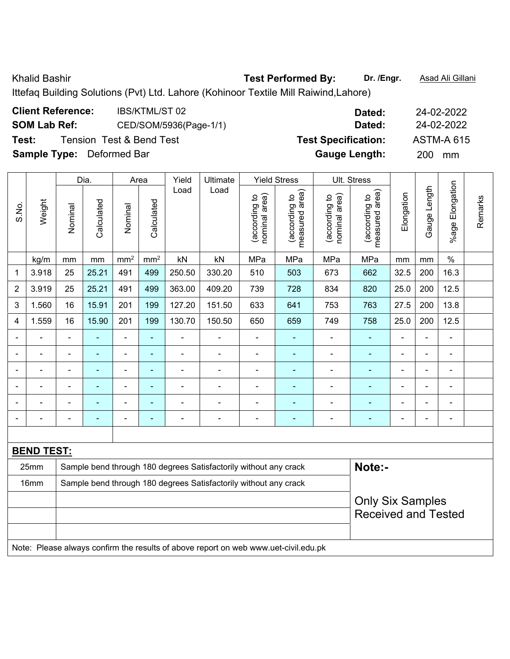Khalid Bashir **Test Performed By:** Dr. /Engr. **Asad Ali Gillani** Collection Association Collection Association

Ittefaq Building Solutions (Pvt) Ltd. Lahore (Kohinoor Textile Mill Raiwind,Lahore)

| <b>Client Reference:</b>         | <b>IBS/KTML/ST02</b>     | Dated:                     | 24-02-2022        |
|----------------------------------|--------------------------|----------------------------|-------------------|
| <b>SOM Lab Ref:</b>              | CED/SOM/5936(Page-1/1)   | Dated:                     | 24-02-2022        |
| Test:                            | Tension Test & Bend Test | <b>Test Specification:</b> | <b>ASTM-A 615</b> |
| <b>Sample Type:</b> Deformed Bar |                          | <b>Gauge Length:</b>       | <b>200</b><br>mm  |

|                |                          |                                                                            | Dia.           |                          | Area            | Yield          | Ultimate                                                                            |                                | <b>Yield Stress</b>             |                                | Ult. Stress                                           |                |                |                          |         |
|----------------|--------------------------|----------------------------------------------------------------------------|----------------|--------------------------|-----------------|----------------|-------------------------------------------------------------------------------------|--------------------------------|---------------------------------|--------------------------------|-------------------------------------------------------|----------------|----------------|--------------------------|---------|
| S.No.          | Weight                   | Nominal                                                                    | Calculated     | Nominal                  | Calculated      | Load           | Load                                                                                | nominal area)<br>(according to | measured area)<br>(according to | (according to<br>nominal area) | (according to<br>measured area)                       | Elongation     | Gauge Length   | %age Elongation          | Remarks |
|                | kg/m                     | mm                                                                         | mm             | mm <sup>2</sup>          | mm <sup>2</sup> | kN             | kN                                                                                  | MPa                            | MPa                             | MPa                            | MPa                                                   | mm             | mm             | $\%$                     |         |
| $\mathbf{1}$   | 3.918                    | 25                                                                         | 25.21          | 491                      | 499             | 250.50         | 330.20                                                                              | 510                            | 503                             | 673                            | 662                                                   | 32.5           | 200            | 16.3                     |         |
| $\overline{2}$ | 3.919                    | 25                                                                         | 25.21          | 491                      | 499             | 363.00         | 409.20                                                                              | 739                            | 728                             | 834                            | 820                                                   | 25.0           | 200            | 12.5                     |         |
| 3              | 1.560                    | 16                                                                         | 15.91          | 201                      | 199             | 127.20         | 151.50                                                                              | 633                            | 641                             | 753                            | 763                                                   | 27.5           | 200            | 13.8                     |         |
| 4              | 1.559                    | 16                                                                         | 15.90          | 201                      | 199             | 130.70         | 150.50                                                                              | 650                            | 659                             | 749                            | 758                                                   | 25.0           | 200            | 12.5                     |         |
|                | $\blacksquare$           | $\blacksquare$                                                             | $\blacksquare$ | $\blacksquare$           | ä,              | $\blacksquare$ | $\frac{1}{2}$                                                                       | $\overline{\phantom{a}}$       | $\blacksquare$                  | $\blacksquare$                 | $\blacksquare$                                        | $\blacksquare$ | ä,             | $\blacksquare$           |         |
|                | ÷,                       | $\blacksquare$                                                             | $\blacksquare$ | $\blacksquare$           | $\blacksquare$  | $\blacksquare$ | $\overline{\phantom{a}}$                                                            | -                              | $\blacksquare$                  | ÷,                             | $\blacksquare$                                        |                | ä,             | $\blacksquare$           |         |
|                | $\overline{\phantom{0}}$ |                                                                            | $\blacksquare$ | $\blacksquare$           | $\blacksquare$  | $\blacksquare$ | $\blacksquare$                                                                      | ä,                             | $\blacksquare$                  | L.                             | $\blacksquare$                                        |                | L.             | $\blacksquare$           |         |
|                |                          |                                                                            |                | $\blacksquare$           | $\blacksquare$  | $\blacksquare$ |                                                                                     | -                              |                                 |                                |                                                       |                | $\blacksquare$ | $\overline{\phantom{a}}$ |         |
| $\blacksquare$ | ÷                        |                                                                            | ٠              | $\blacksquare$           | $\blacksquare$  |                |                                                                                     | ä,                             | ÷                               |                                |                                                       |                | $\blacksquare$ | $\blacksquare$           |         |
| ۰              | -                        | $\blacksquare$                                                             | $\blacksquare$ | $\overline{\phantom{a}}$ | $\blacksquare$  | $\blacksquare$ | $\blacksquare$                                                                      | -                              | $\overline{\phantom{0}}$        | ÷                              | $\blacksquare$                                        | $\blacksquare$ | $\overline{a}$ | $\blacksquare$           |         |
|                |                          |                                                                            |                |                          |                 |                |                                                                                     |                                |                                 |                                |                                                       |                |                |                          |         |
|                | <b>BEND TEST:</b>        |                                                                            |                |                          |                 |                |                                                                                     |                                |                                 |                                |                                                       |                |                |                          |         |
|                | 25mm                     | Note:-<br>Sample bend through 180 degrees Satisfactorily without any crack |                |                          |                 |                |                                                                                     |                                |                                 |                                |                                                       |                |                |                          |         |
|                | 16mm                     |                                                                            |                |                          |                 |                | Sample bend through 180 degrees Satisfactorily without any crack                    |                                |                                 |                                |                                                       |                |                |                          |         |
|                |                          |                                                                            |                |                          |                 |                |                                                                                     |                                |                                 |                                | <b>Only Six Samples</b><br><b>Received and Tested</b> |                |                |                          |         |
|                |                          |                                                                            |                |                          |                 |                |                                                                                     |                                |                                 |                                |                                                       |                |                |                          |         |
|                |                          |                                                                            |                |                          |                 |                | Note: Please always confirm the results of above report on web www.uet-civil.edu.pk |                                |                                 |                                |                                                       |                |                |                          |         |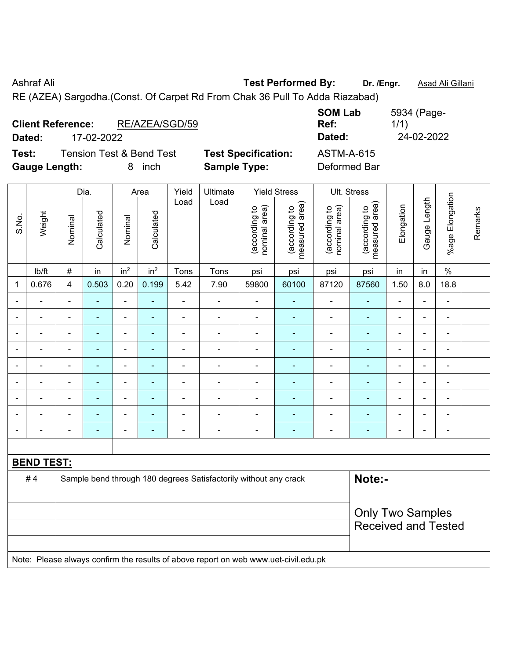Ashraf Ali **Test Performed By: Dr. /Engr.** Asad Ali Gillani RE (AZEA) Sargodha.(Const. Of Carpet Rd From Chak 36 Pull To Adda Riazabad)

| <b>Client Reference:</b><br>Dated: | 17-02-2022                          | RE/AZEA/SGD/59 |                            | <b>SOM Lab</b><br>Ref:<br>Dated: | 5934 (Page-<br>1/1)<br>24-02-2022 |
|------------------------------------|-------------------------------------|----------------|----------------------------|----------------------------------|-----------------------------------|
| Test:                              | <b>Tension Test &amp; Bend Test</b> |                | <b>Test Specification:</b> | <b>ASTM-A-615</b>                |                                   |
| <b>Gauge Length:</b>               |                                     | inch<br>8.     | <b>Sample Type:</b>        | Deformed Bar                     |                                   |

|                          |                   |                         | Dia.           |                              | Area                     | Yield                    | Ultimate                                                                            |                                | <b>Yield Stress</b>             |                                | Ult. Stress                     |                          |                |                 |         |
|--------------------------|-------------------|-------------------------|----------------|------------------------------|--------------------------|--------------------------|-------------------------------------------------------------------------------------|--------------------------------|---------------------------------|--------------------------------|---------------------------------|--------------------------|----------------|-----------------|---------|
| S.No.                    | Weight            | Nominal                 | Calculated     | Nominal                      | Calculated               | Load                     | Load                                                                                | nominal area)<br>(according to | (according to<br>measured area) | nominal area)<br>(according to | (according to<br>measured area) | Elongation               | Gauge Length   | %age Elongation | Remarks |
|                          | Ib/ft             | $\#$                    | in             | in <sup>2</sup>              | in <sup>2</sup>          | Tons                     | Tons                                                                                | psi                            | psi                             | psi                            | psi                             | in                       | in             | $\%$            |         |
| 1                        | 0.676             | $\overline{\mathbf{4}}$ | 0.503          | 0.20                         | 0.199                    | 5.42                     | 7.90                                                                                | 59800                          | 60100                           | 87120                          | 87560                           | 1.50                     | 8.0            | 18.8            |         |
|                          |                   | $\blacksquare$          | $\blacksquare$ | $\blacksquare$               | $\blacksquare$           | $\blacksquare$           | $\blacksquare$                                                                      | $\blacksquare$                 | $\blacksquare$                  | $\overline{\phantom{0}}$       | $\blacksquare$                  | $\blacksquare$           | $\blacksquare$ | $\blacksquare$  |         |
|                          |                   | $\blacksquare$          | $\blacksquare$ | $\blacksquare$               | ٠                        | $\blacksquare$           | $\blacksquare$                                                                      | $\blacksquare$                 | $\blacksquare$                  | $\blacksquare$                 | $\blacksquare$                  | $\overline{\phantom{a}}$ | $\blacksquare$ | $\blacksquare$  |         |
| $\overline{a}$           |                   | $\blacksquare$          | ÷              | $\overline{\phantom{0}}$     |                          | ÷                        | ÷                                                                                   | $\blacksquare$                 | $\blacksquare$                  | $\blacksquare$                 | ٠                               | Ē,                       | $\blacksquare$ | $\blacksquare$  |         |
| $\overline{\phantom{0}}$ | $\blacksquare$    | $\blacksquare$          | ٠              | $\blacksquare$               | $\overline{\phantom{0}}$ | $\blacksquare$           | $\blacksquare$                                                                      | $\blacksquare$                 | $\blacksquare$                  | $\overline{\phantom{0}}$       | $\blacksquare$                  | $\overline{\phantom{0}}$ | $\blacksquare$ | $\blacksquare$  |         |
|                          | $\blacksquare$    | $\blacksquare$          | $\blacksquare$ | $\qquad \qquad \blacksquare$ | $\overline{\phantom{0}}$ | $\blacksquare$           | $\blacksquare$                                                                      | $\blacksquare$                 | $\blacksquare$                  | $\blacksquare$                 | $\blacksquare$                  | ä,                       | $\blacksquare$ | ä,              |         |
| $\blacksquare$           | $\blacksquare$    | $\blacksquare$          | ä,             | ÷,                           | ä,                       | $\overline{\phantom{a}}$ | $\overline{\phantom{a}}$                                                            | $\blacksquare$                 | $\blacksquare$                  | $\blacksquare$                 | $\blacksquare$                  | $\blacksquare$           | $\blacksquare$ | ä,              |         |
|                          |                   | $\blacksquare$          | $\blacksquare$ | $\blacksquare$               |                          |                          |                                                                                     | $\blacksquare$                 |                                 | $\blacksquare$                 |                                 | ۰                        | $\blacksquare$ | $\blacksquare$  |         |
|                          |                   |                         |                |                              |                          |                          |                                                                                     |                                |                                 | Ē,                             |                                 |                          |                |                 |         |
| $\overline{\phantom{0}}$ |                   | $\blacksquare$          | ٠              | $\overline{\phantom{0}}$     | ٠                        | $\blacksquare$           | $\blacksquare$                                                                      | $\blacksquare$                 | $\blacksquare$                  | $\overline{\phantom{0}}$       | $\blacksquare$                  | $\blacksquare$           | $\blacksquare$ | $\blacksquare$  |         |
|                          |                   |                         |                |                              |                          |                          |                                                                                     |                                |                                 |                                |                                 |                          |                |                 |         |
|                          | <b>BEND TEST:</b> |                         |                |                              |                          |                          |                                                                                     |                                |                                 |                                |                                 |                          |                |                 |         |
|                          | #4                |                         |                |                              |                          |                          | Sample bend through 180 degrees Satisfactorily without any crack                    |                                |                                 |                                | Note:-                          |                          |                |                 |         |
|                          |                   |                         |                |                              |                          |                          |                                                                                     |                                |                                 |                                |                                 |                          |                |                 |         |
|                          |                   |                         |                |                              |                          |                          |                                                                                     |                                |                                 |                                | <b>Only Two Samples</b>         |                          |                |                 |         |
|                          |                   |                         |                |                              |                          |                          |                                                                                     |                                |                                 |                                | <b>Received and Tested</b>      |                          |                |                 |         |
|                          |                   |                         |                |                              |                          |                          |                                                                                     |                                |                                 |                                |                                 |                          |                |                 |         |
|                          |                   |                         |                |                              |                          |                          | Note: Please always confirm the results of above report on web www.uet-civil.edu.pk |                                |                                 |                                |                                 |                          |                |                 |         |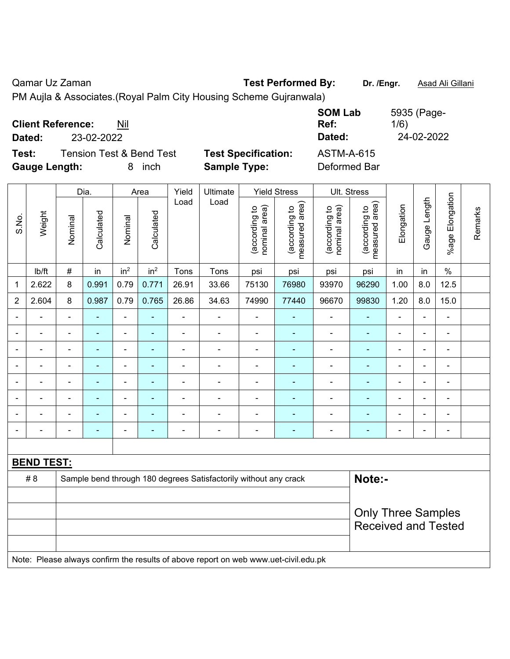| <b>Client Reference:</b> | Nil                                 |            |                            | <b>SOM Lab</b><br>Ref: | 5935 (Page-<br>1/6) |
|--------------------------|-------------------------------------|------------|----------------------------|------------------------|---------------------|
| Dated:                   | 23-02-2022                          |            |                            | Dated:                 | 24-02-2022          |
| Test:                    | <b>Tension Test &amp; Bend Test</b> |            | <b>Test Specification:</b> | <b>ASTM-A-615</b>      |                     |
| <b>Gauge Length:</b>     |                                     | inch<br>8. | <b>Sample Type:</b>        | Deformed Bar           |                     |

|                          |                   |                | Dia.           |                              | Area                     | Yield          | Ultimate                                                                            |                                | <b>Yield Stress</b>             |                                | Ult. Stress                     |                          |                |                          |         |
|--------------------------|-------------------|----------------|----------------|------------------------------|--------------------------|----------------|-------------------------------------------------------------------------------------|--------------------------------|---------------------------------|--------------------------------|---------------------------------|--------------------------|----------------|--------------------------|---------|
| S.No.                    | Weight            | Nominal        | Calculated     | Nominal                      | Calculated               | Load           | Load                                                                                | nominal area)<br>(according to | (according to<br>measured area) | nominal area)<br>(according to | (according to<br>measured area) | Elongation               | Gauge Length   | Elongation<br>$%$ age I  | Remarks |
|                          | Ib/ft             | $\#$           | in             | in <sup>2</sup>              | in <sup>2</sup>          | Tons           | Tons                                                                                | psi                            | psi                             | psi                            | psi                             | in                       | in             | $\%$                     |         |
| 1                        | 2.622             | 8              | 0.991          | 0.79                         | 0.771                    | 26.91          | 33.66                                                                               | 75130                          | 76980                           | 93970                          | 96290                           | 1.00                     | 8.0            | 12.5                     |         |
| $\overline{2}$           | 2.604             | 8              | 0.987          | 0.79                         | 0.765                    | 26.86          | 34.63                                                                               | 74990                          | 77440                           | 96670                          | 99830                           | 1.20                     | 8.0            | 15.0                     |         |
| $\overline{\phantom{0}}$ | $\blacksquare$    | $\blacksquare$ | ÷              | $\blacksquare$               | $\blacksquare$           | $\blacksquare$ | $\blacksquare$                                                                      | $\overline{\phantom{a}}$       | $\blacksquare$                  | ä,                             | $\blacksquare$                  | $\blacksquare$           | ä,             | $\blacksquare$           |         |
| $\overline{\phantom{0}}$ | ÷                 | $\blacksquare$ | $\blacksquare$ | $\qquad \qquad \blacksquare$ | $\blacksquare$           | $\blacksquare$ | $\blacksquare$                                                                      | $\blacksquare$                 | $\blacksquare$                  | $\overline{\phantom{a}}$       | $\blacksquare$                  | $\blacksquare$           | L,             | $\blacksquare$           |         |
| ٠                        | ÷                 | -              | $\blacksquare$ | ÷                            | $\blacksquare$           | $\blacksquare$ | $\blacksquare$                                                                      | $\overline{a}$                 | $\blacksquare$                  | $\overline{\phantom{a}}$       | ٠                               | $\overline{\phantom{a}}$ | $\overline{a}$ | $\overline{\phantom{a}}$ |         |
|                          | $\blacksquare$    | $\blacksquare$ | $\blacksquare$ | $\qquad \qquad \blacksquare$ | $\overline{\phantom{0}}$ | $\blacksquare$ |                                                                                     | $\overline{a}$                 | $\blacksquare$                  | $\overline{\phantom{a}}$       | $\blacksquare$                  | $\overline{\phantom{a}}$ | L,             | $\blacksquare$           |         |
| $\overline{\phantom{0}}$ | ÷                 | ۰              | $\blacksquare$ | $\qquad \qquad \blacksquare$ | $\blacksquare$           | $\blacksquare$ | $\blacksquare$                                                                      | $\blacksquare$                 | $\blacksquare$                  | $\overline{\phantom{a}}$       | $\blacksquare$                  | $\overline{\phantom{a}}$ | L,             | $\overline{\phantom{a}}$ |         |
|                          |                   | $\blacksquare$ |                | $\blacksquare$               |                          |                |                                                                                     | $\overline{a}$                 |                                 | ÷                              | $\blacksquare$                  |                          | L.             | ä,                       |         |
|                          |                   |                |                |                              |                          |                |                                                                                     |                                |                                 |                                |                                 |                          |                |                          |         |
| $\blacksquare$           | $\blacksquare$    | $\blacksquare$ | ÷              | ÷                            | $\overline{\phantom{0}}$ | $\blacksquare$ | $\blacksquare$                                                                      | $\overline{a}$                 | $\overline{\phantom{0}}$        | $\overline{a}$                 | $\overline{\phantom{0}}$        | $\blacksquare$           | ä,             | $\blacksquare$           |         |
|                          |                   |                |                |                              |                          |                |                                                                                     |                                |                                 |                                |                                 |                          |                |                          |         |
|                          | <b>BEND TEST:</b> |                |                |                              |                          |                |                                                                                     |                                |                                 |                                |                                 |                          |                |                          |         |
|                          | # 8               |                |                |                              |                          |                | Sample bend through 180 degrees Satisfactorily without any crack                    |                                |                                 |                                | Note:-                          |                          |                |                          |         |
|                          |                   |                |                |                              |                          |                |                                                                                     |                                |                                 |                                |                                 |                          |                |                          |         |
|                          |                   |                |                |                              |                          |                |                                                                                     |                                |                                 |                                | <b>Only Three Samples</b>       |                          |                |                          |         |
|                          |                   |                |                |                              |                          |                |                                                                                     |                                |                                 |                                | <b>Received and Tested</b>      |                          |                |                          |         |
|                          |                   |                |                |                              |                          |                |                                                                                     |                                |                                 |                                |                                 |                          |                |                          |         |
|                          |                   |                |                |                              |                          |                | Note: Please always confirm the results of above report on web www.uet-civil.edu.pk |                                |                                 |                                |                                 |                          |                |                          |         |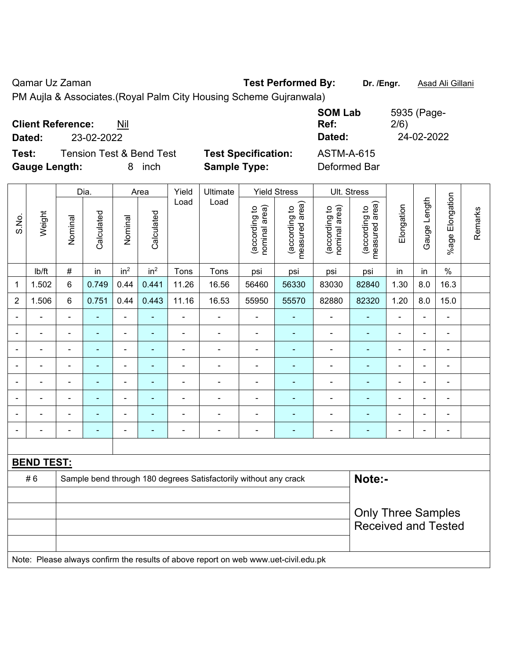| <b>Client Reference:</b> | Nil                                 |           |                            | <b>SOM Lab</b><br>Ref: | 5935 (Page-<br>2/6) |
|--------------------------|-------------------------------------|-----------|----------------------------|------------------------|---------------------|
| Dated:                   | 23-02-2022                          |           |                            | Dated:                 | 24-02-2022          |
| Test:                    | <b>Tension Test &amp; Bend Test</b> |           | <b>Test Specification:</b> | <b>ASTM-A-615</b>      |                     |
| <b>Gauge Length:</b>     |                                     | inch<br>8 | <b>Sample Type:</b>        | Deformed Bar           |                     |

|                          |                   |                                                                  | Dia.                     |                              | Area                     | Yield          | Ultimate                                                                            |                                | <b>Yield Stress</b>             |                                | Ult. Stress                     |                          |                |                          |         |
|--------------------------|-------------------|------------------------------------------------------------------|--------------------------|------------------------------|--------------------------|----------------|-------------------------------------------------------------------------------------|--------------------------------|---------------------------------|--------------------------------|---------------------------------|--------------------------|----------------|--------------------------|---------|
| S.No.                    | Weight            | Nominal                                                          | Calculated               | Nominal                      | Calculated               | Load           | Load                                                                                | nominal area)<br>(according to | (according to<br>measured area) | nominal area)<br>(according to | (according to<br>measured area) | Elongation               | Gauge Length   | %age Elongation          | Remarks |
|                          | Ib/ft             | $\#$                                                             | in                       | in <sup>2</sup>              | in <sup>2</sup>          | Tons           | Tons                                                                                | psi                            | psi                             | psi                            | psi                             | in                       | in             | $\%$                     |         |
| 1                        | 1.502             | 6                                                                | 0.749                    | 0.44                         | 0.441                    | 11.26          | 16.56                                                                               | 56460                          | 56330                           | 83030                          | 82840                           | 1.30                     | 8.0            | 16.3                     |         |
| $\overline{2}$           | 1.506             | 6                                                                | 0.751                    | 0.44                         | 0.443                    | 11.16          | 16.53                                                                               | 55950                          | 55570                           | 82880                          | 82320                           | 1.20                     | 8.0            | 15.0                     |         |
| $\blacksquare$           | $\blacksquare$    | $\blacksquare$                                                   | $\blacksquare$           | $\blacksquare$               | ä,                       | ä,             | $\blacksquare$                                                                      | $\blacksquare$                 | $\blacksquare$                  | ä,                             | ä,                              | ä,                       | $\blacksquare$ | ä,                       |         |
|                          |                   | $\blacksquare$                                                   | ÷,                       | $\blacksquare$               | $\blacksquare$           | $\blacksquare$ | $\blacksquare$                                                                      | $\overline{\phantom{a}}$       | $\blacksquare$                  | $\overline{\phantom{a}}$       | $\blacksquare$                  | $\overline{\phantom{a}}$ | $\blacksquare$ | $\overline{\phantom{a}}$ |         |
|                          | $\blacksquare$    | $\blacksquare$                                                   | ÷,                       | $\blacksquare$               | $\blacksquare$           | $\blacksquare$ | $\blacksquare$                                                                      | $\blacksquare$                 | ÷                               | $\blacksquare$                 | $\blacksquare$                  | $\blacksquare$           | $\blacksquare$ | $\blacksquare$           |         |
|                          | $\blacksquare$    | $\blacksquare$                                                   | ä,                       | $\qquad \qquad \blacksquare$ | $\blacksquare$           | $\blacksquare$ | $\blacksquare$                                                                      | $\overline{\phantom{a}}$       | ÷                               | $\blacksquare$                 | $\blacksquare$                  | $\blacksquare$           | $\blacksquare$ | $\blacksquare$           |         |
|                          |                   | $\blacksquare$                                                   | $\blacksquare$           | $\blacksquare$               | ٠                        |                |                                                                                     | $\overline{a}$                 | $\blacksquare$                  | $\overline{\phantom{a}}$       | $\blacksquare$                  | $\blacksquare$           | $\blacksquare$ | $\blacksquare$           |         |
|                          |                   |                                                                  | ۰                        | $\blacksquare$               |                          |                |                                                                                     | ۰                              |                                 | ۰                              |                                 |                          | ÷              | $\blacksquare$           |         |
|                          |                   |                                                                  |                          |                              |                          |                |                                                                                     | $\blacksquare$                 |                                 | ۰                              |                                 |                          | Ē,             | $\blacksquare$           |         |
| $\overline{\phantom{a}}$ |                   | $\blacksquare$                                                   | $\overline{\phantom{0}}$ | $\blacksquare$               | $\overline{\phantom{0}}$ | $\blacksquare$ | $\blacksquare$                                                                      | $\overline{\phantom{a}}$       | $\overline{\phantom{0}}$        | ۰                              | ۰                               | $\overline{\phantom{0}}$ | $\blacksquare$ | $\blacksquare$           |         |
|                          |                   |                                                                  |                          |                              |                          |                |                                                                                     |                                |                                 |                                |                                 |                          |                |                          |         |
|                          | <b>BEND TEST:</b> |                                                                  |                          |                              |                          |                |                                                                                     |                                |                                 |                                |                                 |                          |                |                          |         |
|                          | #6                | Sample bend through 180 degrees Satisfactorily without any crack |                          |                              |                          |                |                                                                                     |                                |                                 |                                | Note:-                          |                          |                |                          |         |
|                          |                   |                                                                  |                          |                              |                          |                |                                                                                     |                                |                                 |                                |                                 |                          |                |                          |         |
|                          |                   |                                                                  |                          |                              |                          |                |                                                                                     |                                |                                 |                                | <b>Only Three Samples</b>       |                          |                |                          |         |
|                          |                   |                                                                  |                          |                              |                          |                |                                                                                     |                                |                                 |                                | <b>Received and Tested</b>      |                          |                |                          |         |
|                          |                   |                                                                  |                          |                              |                          |                |                                                                                     |                                |                                 |                                |                                 |                          |                |                          |         |
|                          |                   |                                                                  |                          |                              |                          |                | Note: Please always confirm the results of above report on web www.uet-civil.edu.pk |                                |                                 |                                |                                 |                          |                |                          |         |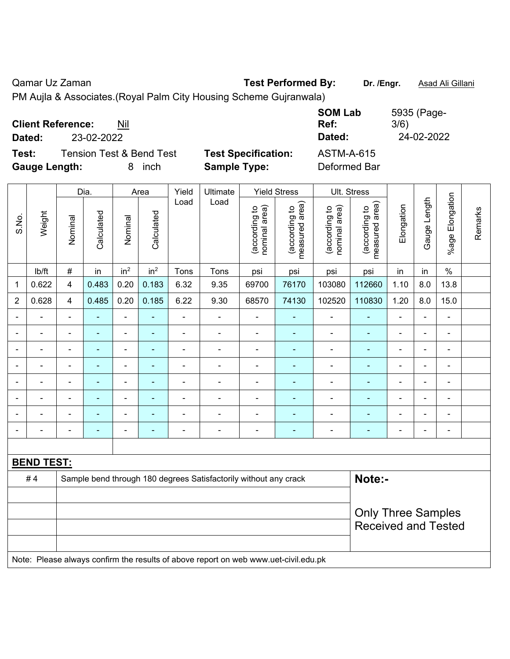|                      |                                     |            |                            | <b>SOM Lab</b>    | 5935 (Page- |
|----------------------|-------------------------------------|------------|----------------------------|-------------------|-------------|
|                      | <b>Client Reference:</b><br>Nil     |            |                            | Ref:              | 3/6)        |
| Dated:               | 23-02-2022                          |            |                            | Dated:            | 24-02-2022  |
| Test:                | <b>Tension Test &amp; Bend Test</b> |            | <b>Test Specification:</b> | <b>ASTM-A-615</b> |             |
| <b>Gauge Length:</b> |                                     | inch<br>8. | <b>Sample Type:</b>        | Deformed Bar      |             |

|                |                   |                                                                  | Dia.           |                              | Area                     | Yield          | Ultimate                                                                            |                                | <b>Yield Stress</b>             |                                | Ult. Stress                     |                          |              |                          |         |
|----------------|-------------------|------------------------------------------------------------------|----------------|------------------------------|--------------------------|----------------|-------------------------------------------------------------------------------------|--------------------------------|---------------------------------|--------------------------------|---------------------------------|--------------------------|--------------|--------------------------|---------|
| S.No.          | Weight            | Nominal                                                          | Calculated     | Nominal                      | Calculated               | Load           | Load                                                                                | nominal area)<br>(according to | (according to<br>measured area) | nominal area)<br>(according to | (according to<br>measured area) | Elongation               | Gauge Length | Elongation<br>$%$ age I  | Remarks |
|                | lb/ft             | $\#$                                                             | in             | in <sup>2</sup>              | in <sup>2</sup>          | Tons           | Tons                                                                                | psi                            | psi                             | psi                            | psi                             | in                       | in           | $\frac{1}{2}$            |         |
| $\mathbf{1}$   | 0.622             | $\overline{\mathbf{4}}$                                          | 0.483          | 0.20                         | 0.183                    | 6.32           | 9.35                                                                                | 69700                          | 76170                           | 103080                         | 112660                          | 1.10                     | 8.0          | 13.8                     |         |
| $\overline{2}$ | 0.628             | $\overline{4}$                                                   | 0.485          | 0.20                         | 0.185                    | 6.22           | 9.30                                                                                | 68570                          | 74130                           | 102520                         | 110830                          | 1.20                     | 8.0          | 15.0                     |         |
| $\blacksquare$ | ÷                 | $\blacksquare$                                                   | ÷              | $\qquad \qquad \blacksquare$ | $\blacksquare$           | $\blacksquare$ | $\blacksquare$                                                                      | $\overline{\phantom{a}}$       | $\blacksquare$                  | $\overline{\phantom{a}}$       | ٠                               | $\blacksquare$           | ÷,           | $\blacksquare$           |         |
| $\blacksquare$ | ÷                 | $\blacksquare$                                                   | $\blacksquare$ | ÷,                           | ÷,                       | ä,             | $\blacksquare$                                                                      | $\overline{\phantom{a}}$       | ÷,                              | $\blacksquare$                 | ÷                               | $\blacksquare$           | ä,           | $\blacksquare$           |         |
| $\blacksquare$ | ÷                 | $\blacksquare$                                                   | $\blacksquare$ | $\qquad \qquad \blacksquare$ | $\blacksquare$           | $\blacksquare$ | $\blacksquare$                                                                      | $\blacksquare$                 | $\blacksquare$                  | $\overline{\phantom{a}}$       | $\blacksquare$                  | $\blacksquare$           | ÷,           | $\overline{\phantom{a}}$ |         |
| $\blacksquare$ | ä,                | $\blacksquare$                                                   | $\blacksquare$ | $\qquad \qquad \blacksquare$ | $\blacksquare$           | ä,             | $\blacksquare$                                                                      | ÷,                             | $\blacksquare$                  | $\blacksquare$                 | $\blacksquare$                  | ä,                       | ä,           | $\blacksquare$           |         |
|                | $\blacksquare$    | $\blacksquare$                                                   | ÷              | $\blacksquare$               | $\blacksquare$           | $\blacksquare$ | $\blacksquare$                                                                      | $\blacksquare$                 | $\blacksquare$                  | $\blacksquare$                 | ٠                               | $\blacksquare$           | ä,           | $\blacksquare$           |         |
|                |                   |                                                                  |                | $\blacksquare$               |                          |                |                                                                                     | $\blacksquare$                 |                                 | $\blacksquare$                 |                                 |                          | ÷            | $\blacksquare$           |         |
|                |                   |                                                                  |                |                              |                          |                |                                                                                     |                                |                                 |                                |                                 |                          |              | Ē,                       |         |
| $\blacksquare$ |                   | ۰                                                                | $\blacksquare$ | $\overline{\phantom{0}}$     | $\overline{\phantom{0}}$ | $\blacksquare$ | $\blacksquare$                                                                      | $\overline{\phantom{a}}$       | $\overline{\phantom{0}}$        | ٠                              | $\overline{\phantom{0}}$        | $\overline{\phantom{0}}$ | ÷            | $\overline{\phantom{a}}$ |         |
|                |                   |                                                                  |                |                              |                          |                |                                                                                     |                                |                                 |                                |                                 |                          |              |                          |         |
|                | <b>BEND TEST:</b> |                                                                  |                |                              |                          |                |                                                                                     |                                |                                 |                                |                                 |                          |              |                          |         |
|                | #4                | Sample bend through 180 degrees Satisfactorily without any crack |                |                              |                          |                |                                                                                     |                                |                                 |                                | Note:-                          |                          |              |                          |         |
|                |                   |                                                                  |                |                              |                          |                |                                                                                     |                                |                                 |                                |                                 |                          |              |                          |         |
|                |                   |                                                                  |                |                              |                          |                |                                                                                     |                                |                                 |                                | <b>Only Three Samples</b>       |                          |              |                          |         |
|                |                   |                                                                  |                |                              |                          |                |                                                                                     |                                |                                 |                                | <b>Received and Tested</b>      |                          |              |                          |         |
|                |                   |                                                                  |                |                              |                          |                |                                                                                     |                                |                                 |                                |                                 |                          |              |                          |         |
|                |                   |                                                                  |                |                              |                          |                | Note: Please always confirm the results of above report on web www.uet-civil.edu.pk |                                |                                 |                                |                                 |                          |              |                          |         |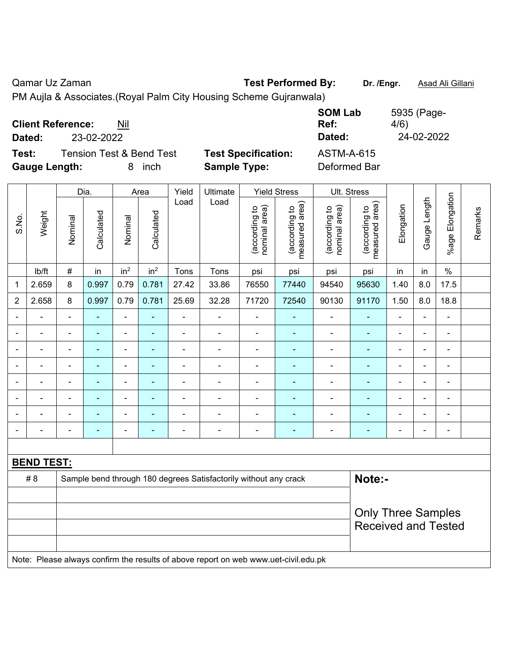|                          |            |                                     |                            | <b>SOM Lab</b>    | 5935 (Page- |
|--------------------------|------------|-------------------------------------|----------------------------|-------------------|-------------|
| <b>Client Reference:</b> |            | Nil                                 |                            | Ref:              | 4/6)        |
| Dated:                   | 23-02-2022 |                                     |                            | Dated:            | 24-02-2022  |
| Test:                    |            | <b>Tension Test &amp; Bend Test</b> | <b>Test Specification:</b> | <b>ASTM-A-615</b> |             |
| <b>Gauge Length:</b>     |            | <i>inch</i><br>8                    | <b>Sample Type:</b>        | Deformed Bar      |             |

|                |                   |                                                                                     | Dia.           |                 | Area            | Yield          | Ultimate                                                         |                                | <b>Yield Stress</b>             |                                | Ult. Stress                     |                          |                |                          |         |
|----------------|-------------------|-------------------------------------------------------------------------------------|----------------|-----------------|-----------------|----------------|------------------------------------------------------------------|--------------------------------|---------------------------------|--------------------------------|---------------------------------|--------------------------|----------------|--------------------------|---------|
| S.No.          | Weight            | Nominal                                                                             | Calculated     | Nominal         | Calculated      | Load           | Load                                                             | nominal area)<br>(according to | (according to<br>measured area) | nominal area)<br>(according to | (according to<br>measured area) | Elongation               | Gauge Length   | Elongation<br>$%$ age I  | Remarks |
|                | Ib/ft             | $\#$                                                                                | in             | in <sup>2</sup> | in <sup>2</sup> | Tons           | Tons                                                             | psi                            | psi                             | psi                            | psi                             | in                       | in             | $\%$                     |         |
| 1              | 2.659             | 8                                                                                   | 0.997          | 0.79            | 0.781           | 27.42          | 33.86                                                            | 76550                          | 77440                           | 94540                          | 95630                           | 1.40                     | 8.0            | 17.5                     |         |
| $\overline{2}$ | 2.658             | 8                                                                                   | 0.997          | 0.79            | 0.781           | 25.69          | 32.28                                                            | 71720                          | 72540                           | 90130                          | 91170                           | 1.50                     | 8.0            | 18.8                     |         |
| $\blacksquare$ | ÷                 | $\blacksquare$                                                                      | $\blacksquare$ | $\blacksquare$  | ÷               | $\blacksquare$ | $\blacksquare$                                                   | $\blacksquare$                 | $\blacksquare$                  | $\blacksquare$                 | $\blacksquare$                  | $\blacksquare$           | $\blacksquare$ | $\blacksquare$           |         |
|                |                   | $\blacksquare$                                                                      | $\blacksquare$ | $\blacksquare$  | ۰               | $\blacksquare$ | $\blacksquare$                                                   | $\blacksquare$                 | $\blacksquare$                  | $\blacksquare$                 | $\blacksquare$                  | $\blacksquare$           | $\blacksquare$ | $\blacksquare$           |         |
|                |                   | $\overline{\phantom{a}}$                                                            | $\blacksquare$ | $\blacksquare$  | ÷               | $\blacksquare$ | $\overline{\phantom{a}}$                                         | $\blacksquare$                 | $\blacksquare$                  | $\blacksquare$                 | $\blacksquare$                  | $\overline{a}$           | $\blacksquare$ | $\overline{\phantom{a}}$ |         |
|                |                   | $\blacksquare$                                                                      | $\blacksquare$ | $\blacksquare$  | ۰               | $\blacksquare$ | $\blacksquare$                                                   | $\blacksquare$                 | ٠                               | $\blacksquare$                 | $\blacksquare$                  | $\overline{a}$           | $\blacksquare$ | $\blacksquare$           |         |
|                | $\blacksquare$    | $\blacksquare$                                                                      | $\blacksquare$ | $\blacksquare$  | ۰               | $\blacksquare$ | $\blacksquare$                                                   | $\blacksquare$                 | $\blacksquare$                  | $\blacksquare$                 | $\blacksquare$                  | $\overline{\phantom{a}}$ | $\blacksquare$ | $\overline{\phantom{a}}$ |         |
|                |                   | $\blacksquare$                                                                      | $\blacksquare$ | $\blacksquare$  |                 | $\blacksquare$ | ÷                                                                | $\blacksquare$                 |                                 |                                | ÷,                              |                          | $\blacksquare$ | $\blacksquare$           |         |
|                |                   |                                                                                     |                |                 |                 |                |                                                                  |                                |                                 |                                |                                 |                          |                |                          |         |
| $\blacksquare$ |                   | $\blacksquare$                                                                      | $\blacksquare$ | $\blacksquare$  | ÷               | $\blacksquare$ | $\blacksquare$                                                   | $\blacksquare$                 | $\overline{\phantom{0}}$        | $\blacksquare$                 | $\qquad \qquad \blacksquare$    | $\blacksquare$           | $\blacksquare$ | $\overline{\phantom{a}}$ |         |
|                |                   |                                                                                     |                |                 |                 |                |                                                                  |                                |                                 |                                |                                 |                          |                |                          |         |
|                | <b>BEND TEST:</b> |                                                                                     |                |                 |                 |                |                                                                  |                                |                                 |                                |                                 |                          |                |                          |         |
|                | # 8               |                                                                                     |                |                 |                 |                | Sample bend through 180 degrees Satisfactorily without any crack |                                |                                 |                                | Note:-                          |                          |                |                          |         |
|                |                   |                                                                                     |                |                 |                 |                |                                                                  |                                |                                 |                                |                                 |                          |                |                          |         |
|                |                   |                                                                                     |                |                 |                 |                |                                                                  |                                |                                 |                                | <b>Only Three Samples</b>       |                          |                |                          |         |
|                |                   |                                                                                     |                |                 |                 |                |                                                                  |                                |                                 |                                | <b>Received and Tested</b>      |                          |                |                          |         |
|                |                   |                                                                                     |                |                 |                 |                |                                                                  |                                |                                 |                                |                                 |                          |                |                          |         |
|                |                   | Note: Please always confirm the results of above report on web www.uet-civil.edu.pk |                |                 |                 |                |                                                                  |                                |                                 |                                |                                 |                          |                |                          |         |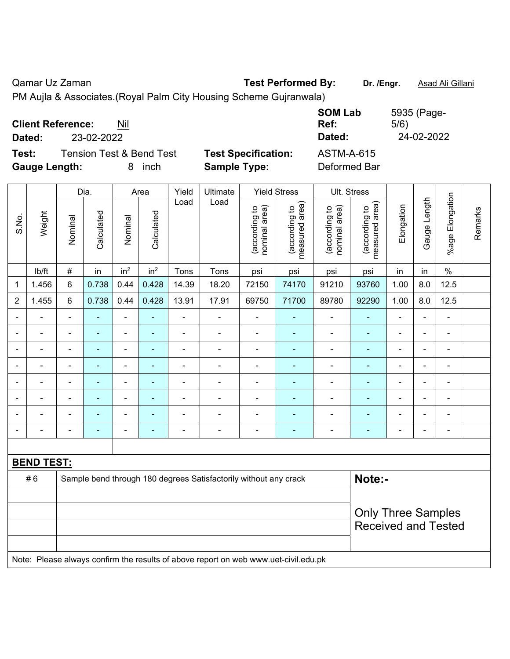|                          |            |                                     |                            | <b>SOM Lab</b>    | 5935 (Page- |
|--------------------------|------------|-------------------------------------|----------------------------|-------------------|-------------|
| <b>Client Reference:</b> |            | Nil                                 |                            | Ref:              | 5/6)        |
| Dated:                   | 23-02-2022 |                                     |                            | Dated:            | 24-02-2022  |
| Test:                    |            | <b>Tension Test &amp; Bend Test</b> | <b>Test Specification:</b> | <b>ASTM-A-615</b> |             |
| <b>Gauge Length:</b>     |            | 8 inch                              | <b>Sample Type:</b>        | Deformed Bar      |             |

|                |                                                                                     |                                                                            | Dia.           |                 | Area            | Yield          | Ultimate                 |                                | <b>Yield Stress</b>             |                                | Ult. Stress                     |                          |                |                          |         |
|----------------|-------------------------------------------------------------------------------------|----------------------------------------------------------------------------|----------------|-----------------|-----------------|----------------|--------------------------|--------------------------------|---------------------------------|--------------------------------|---------------------------------|--------------------------|----------------|--------------------------|---------|
| S.No.          | Weight                                                                              | Nominal                                                                    | Calculated     | Nominal         | Calculated      | Load           | Load                     | nominal area)<br>(according to | (according to<br>measured area) | nominal area)<br>(according to | measured area)<br>(according to | Elongation               | Gauge Length   | %age Elongation          | Remarks |
|                | lb/ft                                                                               | $\#$                                                                       | in             | in <sup>2</sup> | in <sup>2</sup> | Tons           | Tons                     | psi                            | psi                             | psi                            | psi                             | in                       | in             | $\%$                     |         |
| 1              | 1.456                                                                               | 6                                                                          | 0.738          | 0.44            | 0.428           | 14.39          | 18.20                    | 72150                          | 74170                           | 91210                          | 93760                           | 1.00                     | 8.0            | 12.5                     |         |
| $\overline{2}$ | 1.455                                                                               | 6                                                                          | 0.738          | 0.44            | 0.428           | 13.91          | 17.91                    | 69750                          | 71700                           | 89780                          | 92290                           | 1.00                     | 8.0            | 12.5                     |         |
| $\blacksquare$ | $\blacksquare$                                                                      | $\blacksquare$                                                             | $\blacksquare$ | $\blacksquare$  | ÷               | $\blacksquare$ | $\blacksquare$           | $\blacksquare$                 | $\overline{\phantom{0}}$        | $\blacksquare$                 | ٠                               | $\blacksquare$           | $\blacksquare$ | $\blacksquare$           |         |
|                |                                                                                     | ä,                                                                         | ä,             | $\blacksquare$  | ä,              | $\blacksquare$ | ä,                       | $\blacksquare$                 | $\blacksquare$                  | $\blacksquare$                 | $\blacksquare$                  | $\blacksquare$           | ä,             | $\blacksquare$           |         |
|                |                                                                                     | $\overline{\phantom{a}}$                                                   | $\blacksquare$ | $\blacksquare$  | ÷               | $\blacksquare$ | $\overline{\phantom{a}}$ | $\blacksquare$                 | $\blacksquare$                  | $\blacksquare$                 | $\blacksquare$                  | $\overline{a}$           | ÷              | $\overline{\phantom{a}}$ |         |
|                |                                                                                     | $\blacksquare$                                                             | $\blacksquare$ | $\blacksquare$  | ۰               | $\blacksquare$ | $\blacksquare$           | $\blacksquare$                 | $\blacksquare$                  | $\blacksquare$                 | $\blacksquare$                  | $\overline{a}$           | $\blacksquare$ | $\blacksquare$           |         |
|                | $\blacksquare$                                                                      | $\blacksquare$                                                             | $\blacksquare$ | $\blacksquare$  | ۰               | $\blacksquare$ | $\blacksquare$           | $\blacksquare$                 | $\blacksquare$                  | $\blacksquare$                 | ٠                               | $\blacksquare$           | $\blacksquare$ | $\overline{\phantom{a}}$ |         |
|                |                                                                                     | $\blacksquare$                                                             | ä,             | $\blacksquare$  |                 | $\blacksquare$ | ÷                        | $\blacksquare$                 |                                 |                                | Ē,                              |                          | L,             | ä,                       |         |
|                |                                                                                     |                                                                            |                |                 |                 |                |                          |                                |                                 |                                | ٠                               |                          |                |                          |         |
|                |                                                                                     | $\blacksquare$                                                             | $\blacksquare$ | $\blacksquare$  | ۰               | $\blacksquare$ | $\blacksquare$           | $\overline{\phantom{0}}$       | $\blacksquare$                  | $\overline{\phantom{0}}$       | ٠                               | $\overline{\phantom{0}}$ | $\blacksquare$ | ÷                        |         |
|                |                                                                                     |                                                                            |                |                 |                 |                |                          |                                |                                 |                                |                                 |                          |                |                          |         |
|                | <b>BEND TEST:</b>                                                                   |                                                                            |                |                 |                 |                |                          |                                |                                 |                                |                                 |                          |                |                          |         |
|                | #6                                                                                  | Note:-<br>Sample bend through 180 degrees Satisfactorily without any crack |                |                 |                 |                |                          |                                |                                 |                                |                                 |                          |                |                          |         |
|                |                                                                                     |                                                                            |                |                 |                 |                |                          |                                |                                 |                                |                                 |                          |                |                          |         |
|                |                                                                                     |                                                                            |                |                 |                 |                |                          |                                |                                 |                                | <b>Only Three Samples</b>       |                          |                |                          |         |
|                |                                                                                     |                                                                            |                |                 |                 |                |                          |                                |                                 |                                | <b>Received and Tested</b>      |                          |                |                          |         |
|                |                                                                                     |                                                                            |                |                 |                 |                |                          |                                |                                 |                                |                                 |                          |                |                          |         |
|                | Note: Please always confirm the results of above report on web www.uet-civil.edu.pk |                                                                            |                |                 |                 |                |                          |                                |                                 |                                |                                 |                          |                |                          |         |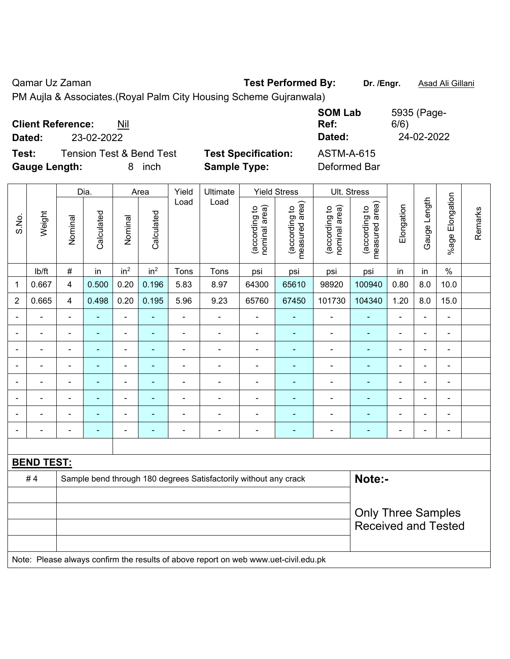| <b>Client Reference:</b> | Nil                                 |        |                            | <b>SOM Lab</b><br>Ref: | 5935 (Page-<br>6/6) |
|--------------------------|-------------------------------------|--------|----------------------------|------------------------|---------------------|
| Dated:                   | 23-02-2022                          |        |                            | Dated:                 | 24-02-2022          |
| Test:                    | <b>Tension Test &amp; Bend Test</b> |        | <b>Test Specification:</b> | <b>ASTM-A-615</b>      |                     |
| <b>Gauge Length:</b>     |                                     | 8 inch | <b>Sample Type:</b>        | Deformed Bar           |                     |

|                          |                   |                         | Dia.           |                                                                  | Area                     | Yield          | Ultimate                                                                            |                                | <b>Yield Stress</b>             |                                | Ult. Stress                     |                |                |                 |         |
|--------------------------|-------------------|-------------------------|----------------|------------------------------------------------------------------|--------------------------|----------------|-------------------------------------------------------------------------------------|--------------------------------|---------------------------------|--------------------------------|---------------------------------|----------------|----------------|-----------------|---------|
| S.No.                    | Weight            | Nominal                 | Calculated     | Nominal                                                          | Calculated               | Load           | Load                                                                                | nominal area)<br>(according to | (according to<br>measured area) | nominal area)<br>(according to | (according to<br>measured area) | Elongation     | Gauge Length   | %age Elongation | Remarks |
|                          | lb/ft             | $\#$                    | in             | in <sup>2</sup>                                                  | in <sup>2</sup>          | Tons           | Tons                                                                                | psi                            | psi                             | psi                            | psi                             | in             | in             | $\frac{0}{0}$   |         |
| 1                        | 0.667             | $\overline{\mathbf{4}}$ | 0.500          | 0.20                                                             | 0.196                    | 5.83           | 8.97                                                                                | 64300                          | 65610                           | 98920                          | 100940                          | 0.80           | 8.0            | 10.0            |         |
| $\overline{2}$           | 0.665             | $\overline{4}$          | 0.498          | 0.20                                                             | 0.195                    | 5.96           | 9.23                                                                                | 65760                          | 67450                           | 101730                         | 104340                          | 1.20           | 8.0            | 15.0            |         |
| $\overline{a}$           | ÷                 | $\blacksquare$          | L,             | ÷,                                                               | ÷,                       | ä,             | ÷,                                                                                  | ÷,                             | ÷                               | $\blacksquare$                 | ÷                               | $\blacksquare$ | $\blacksquare$ | $\blacksquare$  |         |
|                          | ÷                 | $\blacksquare$          | $\blacksquare$ | $\qquad \qquad \blacksquare$                                     | $\blacksquare$           | ä,             | $\blacksquare$                                                                      | $\overline{\phantom{a}}$       | $\blacksquare$                  | $\blacksquare$                 | $\blacksquare$                  | $\blacksquare$ | ä,             | $\blacksquare$  |         |
| $\blacksquare$           | ä,                | $\blacksquare$          | $\blacksquare$ | $\qquad \qquad \blacksquare$                                     | ÷,                       | ä,             | $\blacksquare$                                                                      | $\overline{\phantom{a}}$       | ÷                               | $\blacksquare$                 | ÷                               | ÷              | $\blacksquare$ | $\blacksquare$  |         |
|                          | ä,                | $\blacksquare$          | $\blacksquare$ | $\qquad \qquad \blacksquare$                                     | $\overline{\phantom{0}}$ | ä,             | $\blacksquare$                                                                      | ÷,                             | $\blacksquare$                  | $\blacksquare$                 | $\blacksquare$                  | $\blacksquare$ | $\blacksquare$ | $\blacksquare$  |         |
|                          |                   |                         | $\blacksquare$ | $\blacksquare$                                                   | ٠                        |                |                                                                                     | $\overline{a}$                 | $\blacksquare$                  | Ē,                             | $\overline{\phantom{0}}$        | $\blacksquare$ | ÷              | $\blacksquare$  |         |
|                          |                   |                         |                |                                                                  |                          |                |                                                                                     |                                |                                 |                                |                                 |                |                | $\blacksquare$  |         |
|                          |                   |                         |                | $\blacksquare$                                                   |                          |                |                                                                                     | $\blacksquare$                 |                                 | ٠                              |                                 |                | $\overline{a}$ | $\blacksquare$  |         |
| $\overline{\phantom{a}}$ |                   | -                       | ۰              | ÷                                                                | $\blacksquare$           | $\blacksquare$ | $\blacksquare$                                                                      | $\overline{a}$                 | $\blacksquare$                  | ÷                              | ۰                               | $\overline{a}$ | ÷,             | $\blacksquare$  |         |
|                          |                   |                         |                |                                                                  |                          |                |                                                                                     |                                |                                 |                                |                                 |                |                |                 |         |
|                          | <b>BEND TEST:</b> |                         |                |                                                                  |                          |                |                                                                                     |                                |                                 |                                |                                 |                |                |                 |         |
|                          | #4                |                         |                | Sample bend through 180 degrees Satisfactorily without any crack | Note:-                   |                |                                                                                     |                                |                                 |                                |                                 |                |                |                 |         |
|                          |                   |                         |                |                                                                  |                          |                |                                                                                     |                                |                                 |                                |                                 |                |                |                 |         |
|                          |                   |                         |                |                                                                  |                          |                |                                                                                     |                                |                                 |                                | <b>Only Three Samples</b>       |                |                |                 |         |
|                          |                   |                         |                |                                                                  |                          |                |                                                                                     |                                |                                 |                                | <b>Received and Tested</b>      |                |                |                 |         |
|                          |                   |                         |                |                                                                  |                          |                |                                                                                     |                                |                                 |                                |                                 |                |                |                 |         |
|                          |                   |                         |                |                                                                  |                          |                | Note: Please always confirm the results of above report on web www.uet-civil.edu.pk |                                |                                 |                                |                                 |                |                |                 |         |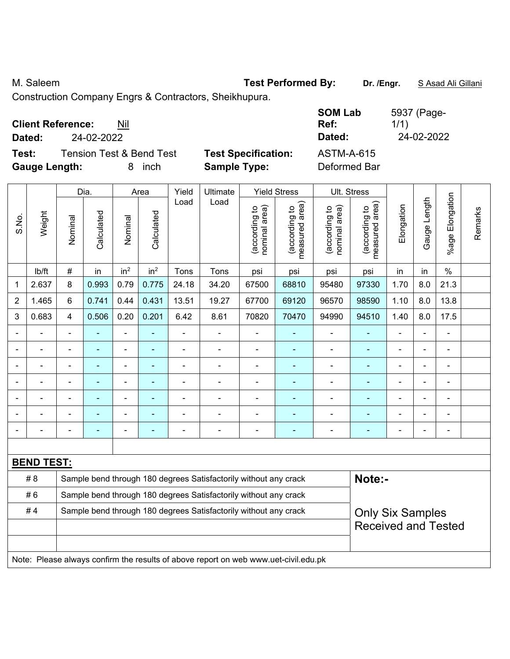M. Saleem **Test Performed By:** Dr. /Engr. **SAsad Ali Gillani** By: Dr. /Engr. **SAsad Ali Gillani** 

Construction Company Engrs & Contractors, Sheikhupura.

|                                   | <b>SOM Lab</b>                                  | 5937 (Page- |
|-----------------------------------|-------------------------------------------------|-------------|
| <b>Client Reference:</b><br>Nil   | Ref:                                            | 1/1)        |
| 24-02-2022<br>Dated:              | Dated:                                          | 24-02-2022  |
| Tension Test & Bend Test<br>Test: | <b>Test Specification:</b><br><b>ASTM-A-615</b> |             |
| <b>Gauge Length:</b><br>inch      | <b>Sample Type:</b><br>Deformed Bar             |             |

|                |                   |                                                                  | Dia.           |                 | Area                     | Yield          | Ultimate                                                                            |                                | <b>Yield Stress</b>                         |                                | Ult. Stress                     |                         |                |                       |         |
|----------------|-------------------|------------------------------------------------------------------|----------------|-----------------|--------------------------|----------------|-------------------------------------------------------------------------------------|--------------------------------|---------------------------------------------|--------------------------------|---------------------------------|-------------------------|----------------|-----------------------|---------|
| S.No.          | Weight            | Nominal                                                          | Calculated     | Nominal         | Calculated               | Load           | Load                                                                                | nominal area)<br>(according to | (according to<br>neasured area)<br>measured | nominal area)<br>(according to | measured area)<br>(according to | Elongation              | Gauge Length   | Elongation<br>$%$ age | Remarks |
|                | lb/ft             | $\#$                                                             | in             | in <sup>2</sup> | in <sup>2</sup>          | Tons           | Tons                                                                                | psi                            | psi                                         | psi                            | psi                             | in                      | in             | $\%$                  |         |
| 1              | 2.637             | 8                                                                | 0.993          | 0.79            | 0.775                    | 24.18          | 34.20                                                                               | 67500                          | 68810                                       | 95480                          | 97330                           | 1.70                    | 8.0            | 21.3                  |         |
| $\overline{2}$ | 1.465             | $6\phantom{1}$                                                   | 0.741          | 0.44            | 0.431                    | 13.51          | 19.27                                                                               | 67700                          | 69120                                       | 96570                          | 98590                           | 1.10                    | 8.0            | 13.8                  |         |
| 3              | 0.683             | $\overline{4}$                                                   | 0.506          | 0.20            | 0.201                    | 6.42           | 8.61                                                                                | 70820                          | 70470                                       | 94990                          | 94510                           | 1.40                    | 8.0            | 17.5                  |         |
|                |                   | $\blacksquare$                                                   | ä,             | $\blacksquare$  | $\overline{\phantom{a}}$ | $\blacksquare$ |                                                                                     | ä,                             | $\blacksquare$                              | $\qquad \qquad \blacksquare$   | $\blacksquare$                  | ä,                      | ÷,             | ä,                    |         |
|                | $\blacksquare$    | ä,                                                               | ÷,             | $\blacksquare$  | $\blacksquare$           | $\blacksquare$ | $\blacksquare$                                                                      | $\blacksquare$                 | $\blacksquare$                              | $\frac{1}{2}$                  | $\blacksquare$                  | $\blacksquare$          | ä,             | $\blacksquare$        |         |
|                |                   |                                                                  | $\blacksquare$ | $\blacksquare$  |                          | $\blacksquare$ |                                                                                     | ä,                             | $\blacksquare$                              | $\blacksquare$                 |                                 |                         | $\blacksquare$ | ä,                    |         |
|                |                   |                                                                  | $\blacksquare$ | $\blacksquare$  |                          |                |                                                                                     | $\blacksquare$                 | $\blacksquare$                              | $\blacksquare$                 |                                 |                         |                | $\blacksquare$        |         |
|                |                   |                                                                  |                |                 |                          |                |                                                                                     |                                |                                             |                                |                                 |                         | $\blacksquare$ |                       |         |
|                |                   |                                                                  | ٠              | $\blacksquare$  |                          |                | $\blacksquare$                                                                      | $\blacksquare$                 | ٠                                           | $\overline{\phantom{0}}$       |                                 |                         | ۰              | $\blacksquare$        |         |
|                |                   | $\overline{\phantom{0}}$                                         | $\blacksquare$ | $\blacksquare$  | $\overline{\phantom{a}}$ |                | $\blacksquare$                                                                      | ÷                              | $\overline{\phantom{0}}$                    | ۰                              |                                 | ÷                       | $\blacksquare$ | $\blacksquare$        |         |
|                |                   |                                                                  |                |                 |                          |                |                                                                                     |                                |                                             |                                |                                 |                         |                |                       |         |
|                | <b>BEND TEST:</b> |                                                                  |                |                 |                          |                |                                                                                     |                                |                                             |                                |                                 |                         |                |                       |         |
|                | # 8               |                                                                  |                |                 |                          |                | Sample bend through 180 degrees Satisfactorily without any crack                    |                                |                                             |                                | Note:-                          |                         |                |                       |         |
|                | #6                | Sample bend through 180 degrees Satisfactorily without any crack |                |                 |                          |                |                                                                                     |                                |                                             |                                |                                 |                         |                |                       |         |
|                | #4                |                                                                  |                |                 |                          |                | Sample bend through 180 degrees Satisfactorily without any crack                    |                                |                                             |                                |                                 | <b>Only Six Samples</b> |                |                       |         |
|                |                   |                                                                  |                |                 |                          |                |                                                                                     |                                |                                             |                                | <b>Received and Tested</b>      |                         |                |                       |         |
|                |                   |                                                                  |                |                 |                          |                |                                                                                     |                                |                                             |                                |                                 |                         |                |                       |         |
|                |                   |                                                                  |                |                 |                          |                | Note: Please always confirm the results of above report on web www.uet-civil.edu.pk |                                |                                             |                                |                                 |                         |                |                       |         |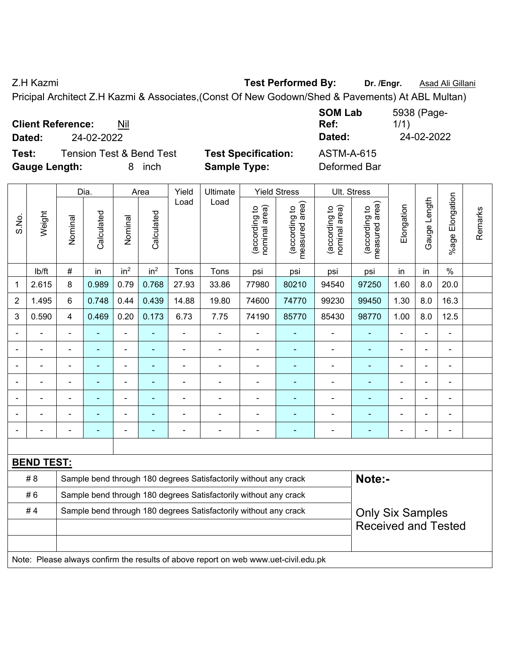Z.H Kazmi **Test Performed By:** Dr. /Engr. **Asad Ali Gillani Z.H Kazmi** 

Pricipal Architect Z.H Kazmi & Associates,(Const Of New Godown/Shed & Pavements) At ABL Multan)

| <b>Client Reference:</b>            | <b>SUMLAD</b>              |
|-------------------------------------|----------------------------|
| Nil                                 | Ref:                       |
| 24-02-2022<br>Dated:                | Dated:                     |
| <b>Tension Test &amp; Bend Test</b> | <b>Test Specification:</b> |
| Test:                               | <b>ASTM-A-615</b>          |
| <b>Gauge Length:</b>                | Deformed Bar               |
| inch                                | <b>Sample Type:</b>        |

|       |                   |                                                                  | Dia.           |                 | Area            | Yield | Ultimate                                                                            |                                | <b>Yield Stress</b>             |                                | Ult. Stress                     |                |                         |                        |         |
|-------|-------------------|------------------------------------------------------------------|----------------|-----------------|-----------------|-------|-------------------------------------------------------------------------------------|--------------------------------|---------------------------------|--------------------------------|---------------------------------|----------------|-------------------------|------------------------|---------|
| S.No. | Weight            | Nominal                                                          | Calculated     | Nominal         | Calculated      | Load  | Load                                                                                | nominal area)<br>(according to | (according to<br>measured area) | (according to<br>nominal area) | measured area)<br>(according to | Elongation     | Gauge Length            | Elongation<br>$%$ agel | Remarks |
|       | lb/ft             | $\#$                                                             | in             | in <sup>2</sup> | in <sup>2</sup> | Tons  | Tons                                                                                | psi                            | psi                             | psi                            | psi                             | in             | in                      | $\frac{0}{0}$          |         |
| 1     | 2.615             | 8                                                                | 0.989          | 0.79            | 0.768           | 27.93 | 33.86                                                                               | 77980                          | 80210                           | 94540                          | 97250                           | 1.60           | 8.0                     | 20.0                   |         |
| 2     | 1.495             | 6                                                                | 0.748          | 0.44            | 0.439           | 14.88 | 19.80                                                                               | 74600                          | 74770                           | 99230                          | 99450                           | 1.30           | 8.0                     | 16.3                   |         |
| 3     | 0.590             | $\overline{4}$                                                   | 0.469          | 0.20            | 0.173           | 6.73  | 7.75                                                                                | 74190                          | 85770                           | 85430                          | 98770                           | 1.00           | 8.0                     | 12.5                   |         |
|       |                   | $\blacksquare$                                                   | $\blacksquare$ | $\blacksquare$  | ä,              | ä,    | $\blacksquare$                                                                      | $\blacksquare$                 | ٠                               | $\blacksquare$                 | ÷                               |                |                         | $\blacksquare$         |         |
|       |                   |                                                                  | L.             | ÷.              | L,              |       |                                                                                     | $\blacksquare$                 | $\blacksquare$                  | $\blacksquare$                 | $\blacksquare$                  | ä,             |                         | L,                     |         |
|       |                   |                                                                  | $\blacksquare$ | ۰               |                 |       |                                                                                     | ۰                              | $\blacksquare$                  | $\blacksquare$                 | $\blacksquare$                  |                |                         | $\blacksquare$         |         |
|       |                   |                                                                  | $\blacksquare$ | $\blacksquare$  |                 |       |                                                                                     | ÷,                             | $\blacksquare$                  | $\blacksquare$                 | $\blacksquare$                  | $\blacksquare$ |                         | $\blacksquare$         |         |
|       |                   | $\blacksquare$                                                   | -              | $\overline{a}$  | ÷               |       |                                                                                     | $\blacksquare$                 | $\blacksquare$                  | $\blacksquare$                 | ۰                               | $\blacksquare$ | $\blacksquare$          | $\overline{a}$         |         |
|       |                   |                                                                  | ۰              | $\overline{a}$  | $\blacksquare$  |       |                                                                                     | $\blacksquare$                 | $\blacksquare$                  | $\blacksquare$                 | ٠                               | $\blacksquare$ |                         | $\overline{a}$         |         |
|       |                   |                                                                  | ÷,             | ÷.              | ÷               |       |                                                                                     | ä,                             | ÷,                              | ÷                              | ÷                               | $\blacksquare$ |                         | $\blacksquare$         |         |
|       |                   |                                                                  |                |                 |                 |       |                                                                                     |                                |                                 |                                |                                 |                |                         |                        |         |
|       | <b>BEND TEST:</b> |                                                                  |                |                 |                 |       |                                                                                     |                                |                                 |                                |                                 |                |                         |                        |         |
|       | # 8               |                                                                  |                |                 |                 |       | Sample bend through 180 degrees Satisfactorily without any crack                    |                                |                                 |                                | Note:-                          |                |                         |                        |         |
|       | #6                | Sample bend through 180 degrees Satisfactorily without any crack |                |                 |                 |       |                                                                                     |                                |                                 |                                |                                 |                |                         |                        |         |
|       | #4                | Sample bend through 180 degrees Satisfactorily without any crack |                |                 |                 |       |                                                                                     |                                |                                 |                                |                                 |                | <b>Only Six Samples</b> |                        |         |
|       |                   | <b>Received and Tested</b>                                       |                |                 |                 |       |                                                                                     |                                |                                 |                                |                                 |                |                         |                        |         |
|       |                   |                                                                  |                |                 |                 |       |                                                                                     |                                |                                 |                                |                                 |                |                         |                        |         |
|       |                   |                                                                  |                |                 |                 |       | Note: Please always confirm the results of above report on web www.uet-civil.edu.pk |                                |                                 |                                |                                 |                |                         |                        |         |

**SOM Lab**  5938 (Page-1/1) **Dated:** 24-02-2022 **Dated:** 24-02-2022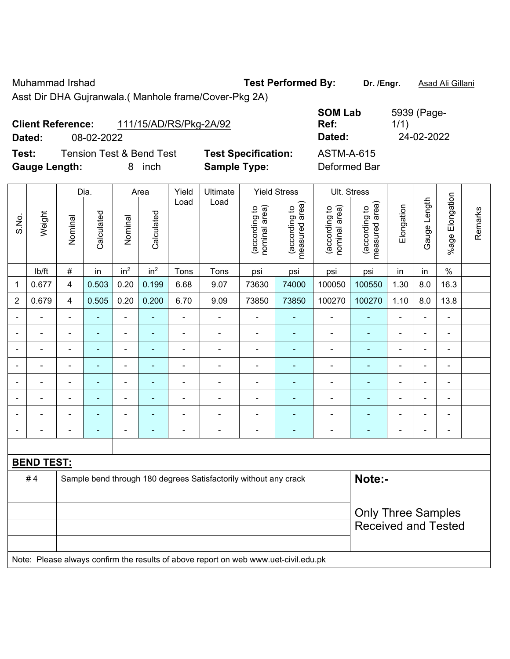Muhammad Irshad **Test Performed By: Dr. /Engr.** Asad Ali Gillani

Asst Dir DHA Gujranwala.( Manhole frame/Cover-Pkg 2A)

|                      | <b>Client Reference:</b> | 111/15/AD/RS/Pkg-2A/92              |                            | UVIII LUD<br>Ref: |
|----------------------|--------------------------|-------------------------------------|----------------------------|-------------------|
| Dated:               | 08-02-2022               |                                     |                            | Dated:            |
| Test:                |                          | <b>Tension Test &amp; Bend Test</b> | <b>Test Specification:</b> | <b>ASTM-A-615</b> |
| <b>Gauge Length:</b> |                          | inch                                | <b>Sample Type:</b>        | Deformed Bar      |

**SOM Lab Ref:**  5939 (Page-1/1) **Dated:** 08-02-2022 **Dated:** 24-02-2022 **Test:** Tension Test & Bend Test **Test Specification:** ASTM-A-615

| Ultimate<br>Dia.<br>Yield<br><b>Yield Stress</b><br>Ult. Stress<br>Area<br>Load<br>Load                                                                                                                     |                |                          |                 |         |  |  |  |  |  |  |  |
|-------------------------------------------------------------------------------------------------------------------------------------------------------------------------------------------------------------|----------------|--------------------------|-----------------|---------|--|--|--|--|--|--|--|
|                                                                                                                                                                                                             |                |                          |                 |         |  |  |  |  |  |  |  |
| (according to<br>measured area)<br>(according to<br>measured area)<br>nominal area)<br>nominal area)<br>(according to<br>(according to<br>Weight<br>Calculated<br>Calculated<br>S.No.<br>Nominal<br>Nominal | Elongation     | Gauge Length             | %age Elongation | Remarks |  |  |  |  |  |  |  |
| in <sup>2</sup><br>in <sup>2</sup><br>$\#$<br>lb/ft<br>Tons<br>Tons<br>in<br>psi<br>psi<br>psi<br>psi                                                                                                       | in             | in                       | $\%$            |         |  |  |  |  |  |  |  |
| 4<br>0.503<br>0.20<br>0.199<br>6.68<br>9.07<br>73630<br>74000<br>100050<br>100550<br>0.677<br>1                                                                                                             | 1.30           | 8.0                      | 16.3            |         |  |  |  |  |  |  |  |
| $\overline{2}$<br>0.679<br>0.20<br>0.200<br>6.70<br>9.09<br>73850<br>73850<br>100270<br>100270<br>4<br>0.505                                                                                                | 1.10           | 8.0                      | 13.8            |         |  |  |  |  |  |  |  |
| $\blacksquare$<br>$\blacksquare$<br>$\blacksquare$<br>$\blacksquare$<br>$\blacksquare$<br>$\blacksquare$<br>$\blacksquare$<br>ä,<br>$\blacksquare$<br>٠<br>$\blacksquare$<br>$\blacksquare$                 | $\blacksquare$ | $\blacksquare$           | $\blacksquare$  |         |  |  |  |  |  |  |  |
| ÷,<br>ä,<br>ä,<br>$\blacksquare$<br>$\blacksquare$<br>$\blacksquare$<br>$\blacksquare$<br>٠<br>٠<br>$\blacksquare$<br>$\blacksquare$                                                                        | $\blacksquare$ |                          | $\blacksquare$  |         |  |  |  |  |  |  |  |
| ä,<br>ä,<br>$\blacksquare$<br>$\blacksquare$<br>÷<br>$\blacksquare$<br>$\blacksquare$<br>ä,<br>$\blacksquare$<br>$\blacksquare$<br>۰                                                                        | $\blacksquare$ |                          | ä,              |         |  |  |  |  |  |  |  |
| $\blacksquare$<br>$\blacksquare$<br>$\blacksquare$<br>$\blacksquare$<br>$\blacksquare$<br>$\blacksquare$<br>$\blacksquare$                                                                                  | $\blacksquare$ |                          | $\blacksquare$  |         |  |  |  |  |  |  |  |
| $\blacksquare$<br>$\blacksquare$<br>۰<br>۰<br>$\blacksquare$<br>$\blacksquare$<br>$\blacksquare$<br>$\blacksquare$<br>$\blacksquare$<br>$\overline{\phantom{0}}$<br>$\blacksquare$                          | ۰              |                          | $\blacksquare$  |         |  |  |  |  |  |  |  |
| ÷<br>÷,<br>÷<br>ä,<br>$\blacksquare$                                                                                                                                                                        | $\blacksquare$ |                          | -               |         |  |  |  |  |  |  |  |
| ÷<br>÷<br>$\blacksquare$<br>$\blacksquare$<br>۰<br>$\blacksquare$                                                                                                                                           | $\blacksquare$ |                          | ä,              |         |  |  |  |  |  |  |  |
| $\blacksquare$<br>۰<br>$\blacksquare$<br>۰<br>$\qquad \qquad \blacksquare$<br>۰<br>$\blacksquare$<br>$\overline{a}$<br>$\blacksquare$<br>٠<br>$\blacksquare$<br>$\overline{a}$                              | ۰              | $\overline{\phantom{0}}$ |                 |         |  |  |  |  |  |  |  |
|                                                                                                                                                                                                             |                |                          |                 |         |  |  |  |  |  |  |  |
| <b>BEND TEST:</b>                                                                                                                                                                                           |                |                          |                 |         |  |  |  |  |  |  |  |
| Note:-<br>Sample bend through 180 degrees Satisfactorily without any crack<br>#4                                                                                                                            |                |                          |                 |         |  |  |  |  |  |  |  |
|                                                                                                                                                                                                             |                |                          |                 |         |  |  |  |  |  |  |  |
| <b>Only Three Samples</b>                                                                                                                                                                                   |                |                          |                 |         |  |  |  |  |  |  |  |
| <b>Received and Tested</b>                                                                                                                                                                                  |                |                          |                 |         |  |  |  |  |  |  |  |
|                                                                                                                                                                                                             |                |                          |                 |         |  |  |  |  |  |  |  |
| Note: Please always confirm the results of above report on web www.uet-civil.edu.pk                                                                                                                         |                |                          |                 |         |  |  |  |  |  |  |  |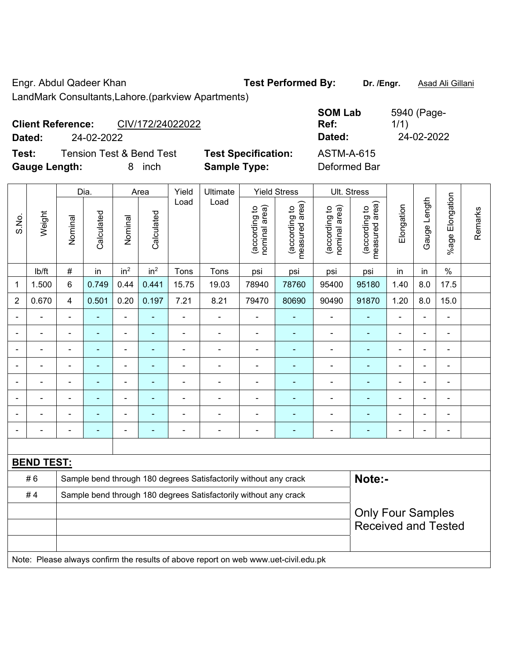Engr. Abdul Qadeer Khan **Test Performed By: Dr. /Engr.** Asad Ali Gillani LandMark Consultants,Lahore.(parkview Apartments)

**Client Reference:** CIV/172/24022022 **SOM Lab Ref:**  1/1) **Dated:** 24-02-2022 **Dated:** 24-02-2022 **Test:** Tension Test & Bend Test **Test Specification:** ASTM-A-615 **Gauge Length:** 8 inch **Sample Type:** Deformed Bar

|                |                   |                                                                  | Dia.           |                          | Area            | Yield          | Ultimate                                                                            |                                | <b>Yield Stress</b>             |                                | <b>Ult. Stress</b>              |                |                |                          |         |
|----------------|-------------------|------------------------------------------------------------------|----------------|--------------------------|-----------------|----------------|-------------------------------------------------------------------------------------|--------------------------------|---------------------------------|--------------------------------|---------------------------------|----------------|----------------|--------------------------|---------|
| S.No.          | Weight            | Nominal                                                          | Calculated     | Nominal                  | Calculated      | Load           | Load                                                                                | nominal area)<br>(according to | (according to<br>measured area) | nominal area)<br>(according to | (according to<br>measured area) | Elongation     | Gauge Length   | Elongation<br>$%$ age    | Remarks |
|                | lb/ft             | #                                                                | in             | in <sup>2</sup>          | in <sup>2</sup> | Tons           | Tons                                                                                | psi                            | psi                             | psi                            | psi                             | in             | in             | $\%$                     |         |
| 1              | 1.500             | 6                                                                | 0.749          | 0.44                     | 0.441           | 15.75          | 19.03                                                                               | 78940                          | 78760                           | 95400                          | 95180                           | 1.40           | 8.0            | 17.5                     |         |
| $\overline{2}$ | 0.670             | 4                                                                | 0.501          | 0.20                     | 0.197           | 7.21           | 8.21                                                                                | 79470                          | 80690                           | 90490                          | 91870                           | 1.20           | 8.0            | 15.0                     |         |
| $\overline{a}$ |                   | L,                                                               | ä,             | ä,                       | ÷               | $\blacksquare$ | $\blacksquare$                                                                      | ÷,                             | $\blacksquare$                  | $\blacksquare$                 | ä,                              | ä,             | ÷              | ÷,                       |         |
|                | $\blacksquare$    | $\overline{\phantom{a}}$                                         | ä,             | ÷,                       | ۰               | $\blacksquare$ | $\blacksquare$                                                                      | $\overline{\phantom{a}}$       | $\blacksquare$                  | $\blacksquare$                 | ٠                               | $\blacksquare$ | $\blacksquare$ | $\blacksquare$           |         |
|                |                   | $\blacksquare$                                                   | ä,             | ÷,                       | ۰               | $\blacksquare$ | $\blacksquare$                                                                      | $\overline{\phantom{a}}$       | ٠                               | $\blacksquare$                 | $\blacksquare$                  | ÷,             | $\blacksquare$ | $\overline{\phantom{a}}$ |         |
|                | $\blacksquare$    | $\overline{\phantom{a}}$                                         | ä,             | ä,                       | ۰               | $\blacksquare$ | $\blacksquare$                                                                      | $\overline{a}$                 | ÷                               | $\blacksquare$                 | $\blacksquare$                  | $\blacksquare$ | $\blacksquare$ | $\blacksquare$           |         |
|                |                   |                                                                  | $\blacksquare$ | $\blacksquare$           | ۰               |                |                                                                                     | $\overline{a}$                 | $\blacksquare$                  | $\overline{\phantom{0}}$       | $\blacksquare$                  | $\blacksquare$ | ä,             | Ē,                       |         |
|                |                   |                                                                  |                | $\overline{\phantom{0}}$ |                 |                |                                                                                     |                                |                                 |                                |                                 |                | $\overline{a}$ | $\overline{a}$           |         |
|                |                   |                                                                  |                |                          |                 |                |                                                                                     | ٠                              |                                 | $\overline{\phantom{0}}$       |                                 |                | $\overline{a}$ | L,                       |         |
|                |                   | Ē,                                                               | $\blacksquare$ | ÷                        | ÷               | $\blacksquare$ | $\blacksquare$                                                                      | $\overline{a}$                 | ÷                               | $\overline{a}$                 | ٠                               | ÷              | ÷,             | $\overline{\phantom{a}}$ |         |
|                |                   |                                                                  |                |                          |                 |                |                                                                                     |                                |                                 |                                |                                 |                |                |                          |         |
|                | <b>BEND TEST:</b> |                                                                  |                |                          |                 |                |                                                                                     |                                |                                 |                                |                                 |                |                |                          |         |
|                | #6                |                                                                  |                |                          |                 |                | Sample bend through 180 degrees Satisfactorily without any crack                    |                                |                                 |                                | Note:-                          |                |                |                          |         |
|                | #4                | Sample bend through 180 degrees Satisfactorily without any crack |                |                          |                 |                |                                                                                     |                                |                                 |                                |                                 |                |                |                          |         |
|                |                   |                                                                  |                |                          |                 |                |                                                                                     |                                |                                 |                                | <b>Only Four Samples</b>        |                |                |                          |         |
|                |                   |                                                                  |                |                          |                 |                |                                                                                     |                                |                                 |                                | <b>Received and Tested</b>      |                |                |                          |         |
|                |                   |                                                                  |                |                          |                 |                |                                                                                     |                                |                                 |                                |                                 |                |                |                          |         |
|                |                   |                                                                  |                |                          |                 |                | Note: Please always confirm the results of above report on web www.uet-civil.edu.pk |                                |                                 |                                |                                 |                |                |                          |         |

5940 (Page-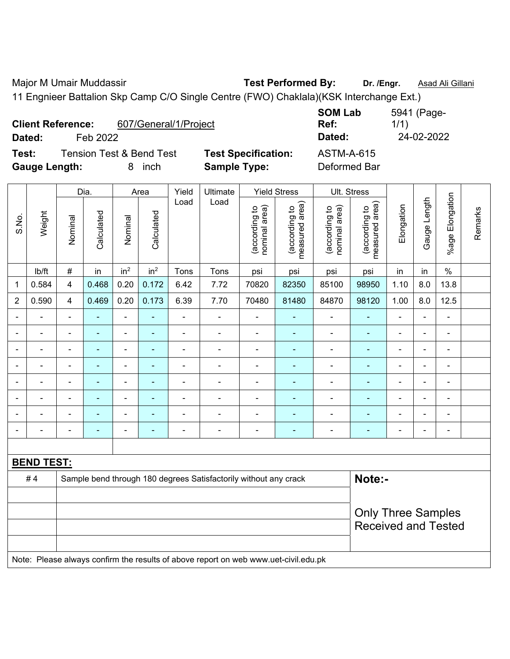Major M Umair Muddassir **Test Performed By:** Dr. /Engr. **Asad Ali Gillani** 

11 Engnieer Battalion Skp Camp C/O Single Centre (FWO) Chaklala)(KSK Interchange Ext.)

| Dated:               | <b>Client Reference:</b><br>Feb 2022 | 607/General/1/Project               |                            | <b>SOM Lab</b><br>Ref:<br>Dated: | 5941 (Page-<br>1/1)<br>24-02-2022 |
|----------------------|--------------------------------------|-------------------------------------|----------------------------|----------------------------------|-----------------------------------|
| Test:                |                                      | <b>Tension Test &amp; Bend Test</b> | <b>Test Specification:</b> | <b>ASTM-A-615</b>                |                                   |
| <b>Gauge Length:</b> |                                      | inch                                | <b>Sample Type:</b>        | Deformed Bar                     |                                   |

|                           |                   |                | Dia.<br>Area   |                          |                          | Yield          | Ultimate                                                                            |                                | <b>Yield Stress</b>             |                                | <b>Ult. Stress</b>              |                          |              |                          |         |  |
|---------------------------|-------------------|----------------|----------------|--------------------------|--------------------------|----------------|-------------------------------------------------------------------------------------|--------------------------------|---------------------------------|--------------------------------|---------------------------------|--------------------------|--------------|--------------------------|---------|--|
| S.No.                     | Weight            | Nominal        | Calculated     | Nominal                  | Calculated               | Load           | Load                                                                                | nominal area)<br>(according to | (according to<br>measured area) | nominal area)<br>(according to | (according to<br>measured area) | Elongation               | Gauge Length | %age Elongation          | Remarks |  |
|                           | lb/ft             | $\#$           | in             | in <sup>2</sup>          | in <sup>2</sup>          | Tons           | Tons                                                                                | psi                            | psi                             | psi                            | psi                             | in                       | in           | $\frac{0}{0}$            |         |  |
| 1                         | 0.584             | $\overline{4}$ | 0.468          | 0.20                     | 0.172                    | 6.42           | 7.72                                                                                | 70820                          | 82350                           | 85100                          | 98950                           | 1.10                     | 8.0          | 13.8                     |         |  |
| $\boldsymbol{2}$          | 0.590             | $\overline{4}$ | 0.469          | 0.20                     | 0.173                    | 6.39           | 7.70                                                                                | 70480                          | 81480                           | 84870                          | 98120                           | 1.00                     | 8.0          | 12.5                     |         |  |
|                           |                   |                |                | ä,                       |                          | L.             |                                                                                     |                                |                                 |                                |                                 |                          | L,           | $\blacksquare$           |         |  |
|                           |                   |                | $\blacksquare$ | $\blacksquare$           |                          |                |                                                                                     | $\blacksquare$                 | ٠                               | $\blacksquare$                 | $\blacksquare$                  |                          | ÷            | $\blacksquare$           |         |  |
| $\blacksquare$            | $\blacksquare$    |                | $\blacksquare$ | $\blacksquare$           | ٠                        | $\blacksquare$ | $\blacksquare$                                                                      | $\blacksquare$                 | $\blacksquare$                  | $\blacksquare$                 | $\blacksquare$                  | $\blacksquare$           | ä,           | $\blacksquare$           |         |  |
| $\blacksquare$            | L.                | $\blacksquare$ | ÷              | $\blacksquare$           | $\blacksquare$           | $\blacksquare$ | $\blacksquare$                                                                      | $\blacksquare$                 | $\blacksquare$                  | $\blacksquare$                 | ٠                               | $\blacksquare$           | ä,           | $\overline{\phantom{a}}$ |         |  |
|                           | ä,                |                | $\blacksquare$ | $\blacksquare$           | $\blacksquare$           | L,             | ä,                                                                                  | $\blacksquare$                 | $\blacksquare$                  | $\blacksquare$                 | ٠                               | ÷,                       | ÷,           | $\blacksquare$           |         |  |
|                           | $\blacksquare$    |                | $\blacksquare$ | $\overline{\phantom{a}}$ | $\overline{\phantom{a}}$ | $\blacksquare$ | $\blacksquare$                                                                      | $\overline{\phantom{0}}$       | $\blacksquare$                  | $\overline{\phantom{0}}$       | $\blacksquare$                  | $\overline{\phantom{0}}$ | ÷            | $\blacksquare$           |         |  |
|                           |                   |                | $\blacksquare$ | $\blacksquare$           |                          |                |                                                                                     | $\blacksquare$                 | $\blacksquare$                  | $\blacksquare$                 | $\overline{\phantom{0}}$        |                          |              | $\blacksquare$           |         |  |
|                           |                   |                |                | Ē,                       | ٠                        |                |                                                                                     | ٠                              |                                 | ÷                              |                                 | ٠                        | ÷            | $\blacksquare$           |         |  |
|                           |                   |                |                |                          |                          |                |                                                                                     |                                |                                 |                                |                                 |                          |              |                          |         |  |
|                           | <b>BEND TEST:</b> |                |                |                          |                          |                |                                                                                     |                                |                                 |                                |                                 |                          |              |                          |         |  |
|                           | #4                |                |                |                          |                          |                | Sample bend through 180 degrees Satisfactorily without any crack                    |                                |                                 |                                | Note:-                          |                          |              |                          |         |  |
|                           |                   |                |                |                          |                          |                |                                                                                     |                                |                                 |                                |                                 |                          |              |                          |         |  |
| <b>Only Three Samples</b> |                   |                |                |                          |                          |                |                                                                                     |                                |                                 |                                |                                 |                          |              |                          |         |  |
|                           |                   |                |                |                          |                          |                |                                                                                     |                                |                                 |                                | <b>Received and Tested</b>      |                          |              |                          |         |  |
|                           |                   |                |                |                          |                          |                |                                                                                     |                                |                                 |                                |                                 |                          |              |                          |         |  |
|                           |                   |                |                |                          |                          |                | Note: Please always confirm the results of above report on web www.uet-civil.edu.pk |                                |                                 |                                |                                 |                          |              |                          |         |  |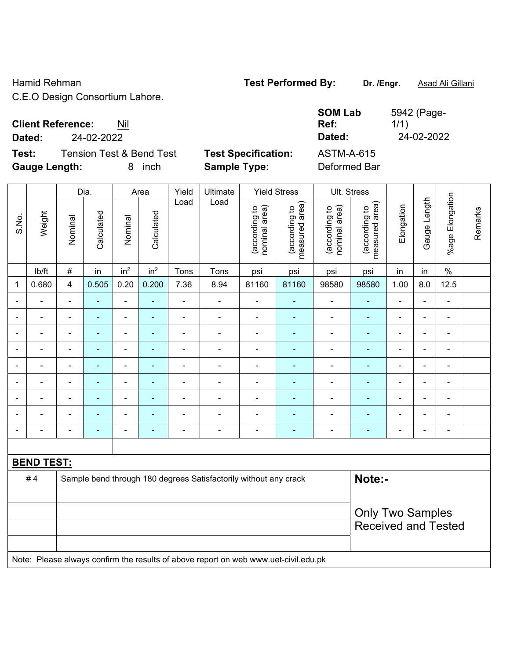## Hamid Rehman **Test Performed By:** Dr. /Engr. **Asad Ali Gillani** Associates Associates Associates Associates Associates Associates Associates Associates Associates Associates Associates Associates Associates Associates Asso

C.E.O Design Consortium Lahore.

## **Client Reference:** Nil

**Test:** Tension Test & Bend Test **Test Specification:** ASTM-A-615 **Gauge Length:** 8 inch **Sample Type:** Deformed Bar

|                              |                   | Dia.                    |                | Yield<br>Area   |                          | Ultimate       |                                                                                     | <b>Yield Stress</b>            |                                 | Ult. Stress                    |                                                       |                          |                |                         |         |
|------------------------------|-------------------|-------------------------|----------------|-----------------|--------------------------|----------------|-------------------------------------------------------------------------------------|--------------------------------|---------------------------------|--------------------------------|-------------------------------------------------------|--------------------------|----------------|-------------------------|---------|
| S.No.                        | Weight            | Nominal                 | Calculated     | Nominal         | Calculated               | Load           | Load                                                                                | (according to<br>nominal area) | (according to<br>measured area) | (according to<br>nominal area) | (according to<br>measured area)                       | Elongation               | Gauge Length   | Elongation<br>$%$ age I | Remarks |
|                              | lb/ft             | $\#$                    | in             | in <sup>2</sup> | in <sup>2</sup>          | Tons           | Tons                                                                                | psi                            | psi                             | psi                            | psi                                                   | in                       | in             | $\%$                    |         |
| 1                            | 0.680             | $\overline{\mathbf{4}}$ | 0.505          | 0.20            | 0.200                    | 7.36           | 8.94                                                                                | 81160                          | 81160                           | 98580                          | 98580                                                 | 1.00                     | 8.0            | 12.5                    |         |
|                              |                   | $\blacksquare$          | $\blacksquare$ | $\overline{a}$  | ä,                       | $\overline{a}$ | ä,                                                                                  | $\blacksquare$                 | $\blacksquare$                  | ÷,                             | ä,                                                    | $\blacksquare$           |                | $\blacksquare$          |         |
| $\blacksquare$               |                   | $\blacksquare$          |                | $\blacksquare$  |                          |                | $\blacksquare$                                                                      | $\blacksquare$                 | ä,                              | $\blacksquare$                 | L,                                                    |                          |                | $\blacksquare$          |         |
|                              |                   | Ē,                      | $\blacksquare$ | $\blacksquare$  |                          | $\blacksquare$ | $\blacksquare$                                                                      | $\blacksquare$                 | $\blacksquare$                  | $\overline{\phantom{a}}$       | ۰                                                     | $\blacksquare$           | $\blacksquare$ | $\blacksquare$          |         |
| $\qquad \qquad \blacksquare$ | $\blacksquare$    | $\blacksquare$          | $\blacksquare$ | $\blacksquare$  | $\overline{\phantom{0}}$ | $\blacksquare$ | $\overline{\phantom{a}}$                                                            | $\overline{\phantom{a}}$       | $\blacksquare$                  | ۰                              | ۰                                                     | $\overline{\phantom{a}}$ | $\blacksquare$ | $\blacksquare$          |         |
|                              | $\blacksquare$    | ä,                      | $\blacksquare$ | ÷,              | $\blacksquare$           | $\blacksquare$ | $\blacksquare$                                                                      | $\blacksquare$                 | ÷                               | $\qquad \qquad \blacksquare$   | ä,                                                    | $\blacksquare$           | ä,             | $\blacksquare$          |         |
|                              |                   | $\blacksquare$          | ä,             | $\blacksquare$  |                          |                | $\blacksquare$                                                                      | $\blacksquare$                 | L,                              | $\blacksquare$                 | ä,                                                    | $\blacksquare$           |                | $\blacksquare$          |         |
|                              |                   |                         | $\blacksquare$ | $\blacksquare$  |                          |                | $\blacksquare$                                                                      | $\blacksquare$                 | ÷                               | $\blacksquare$                 | ÷,                                                    |                          |                | $\blacksquare$          |         |
| $\blacksquare$               |                   |                         | $\blacksquare$ | $\blacksquare$  |                          | $\blacksquare$ | $\blacksquare$                                                                      | $\blacksquare$                 | ÷                               | $\blacksquare$                 | ä,                                                    | $\blacksquare$           |                | $\blacksquare$          |         |
| $\blacksquare$               | $\blacksquare$    | $\blacksquare$          | $\blacksquare$ | $\blacksquare$  | ٠                        | $\blacksquare$ | $\overline{\phantom{a}}$                                                            | $\blacksquare$                 | ٠                               | $\qquad \qquad \blacksquare$   | ۰                                                     | $\blacksquare$           | $\blacksquare$ | $\blacksquare$          |         |
|                              |                   |                         |                |                 |                          |                |                                                                                     |                                |                                 |                                |                                                       |                          |                |                         |         |
|                              | <b>BEND TEST:</b> |                         |                |                 |                          |                |                                                                                     |                                |                                 |                                |                                                       |                          |                |                         |         |
|                              | #4                |                         |                |                 |                          |                | Sample bend through 180 degrees Satisfactorily without any crack                    |                                |                                 |                                | Note:-                                                |                          |                |                         |         |
|                              |                   |                         |                |                 |                          |                |                                                                                     |                                |                                 |                                |                                                       |                          |                |                         |         |
|                              |                   |                         |                |                 |                          |                |                                                                                     |                                |                                 |                                | <b>Only Two Samples</b><br><b>Received and Tested</b> |                          |                |                         |         |
|                              |                   |                         |                |                 |                          |                | Note: Please always confirm the results of above report on web www.uet-civil.edu.pk |                                |                                 |                                |                                                       |                          |                |                         |         |

**SOM Lab Ref:**  5942 (Page-1/1) **Dated:** 24-02-2022 **Dated:** 24-02-2022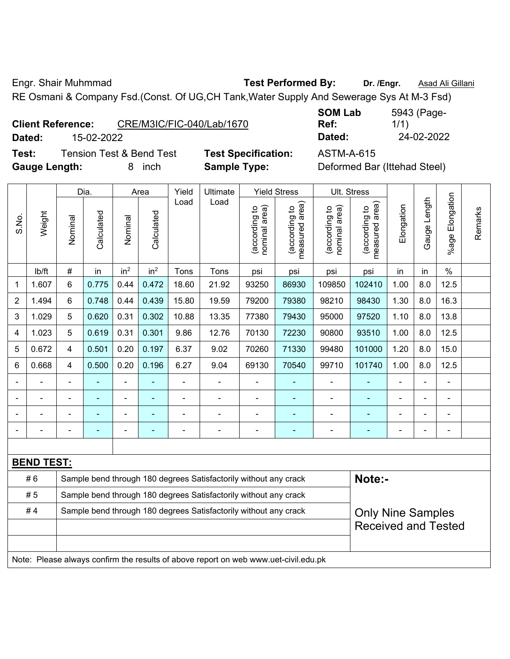Engr. Shair Muhmmad **Test Performed By:** Dr. /Engr. **Asad Ali Gillani** 

RE Osmani & Company Fsd.(Const. Of UG,CH Tank,Water Supply And Sewerage Sys At M-3 Fsd)

**Test:** Tension Test & Bend Test **Test Specification:** ASTM-A-615 Gauge Length: **8** inch **Sample Type:** I

**SOM Lab Ref:**  5943 (Page-1/1) **Dated:** 15-02-2022 **Dated:** 24-02-2022

| Deformed Bar (Ittehad Steel) |  |
|------------------------------|--|
|------------------------------|--|

|                |                   |                | Dia.       |                 | Area            |       | Yield<br>Ultimate                                                                   |                                | <b>Yield Stress</b>             |                                | Ult. Stress                     |                |              |                 |         |
|----------------|-------------------|----------------|------------|-----------------|-----------------|-------|-------------------------------------------------------------------------------------|--------------------------------|---------------------------------|--------------------------------|---------------------------------|----------------|--------------|-----------------|---------|
| S.No.          | Weight            | Nominal        | Calculated | Nominal         | Calculated      | Load  | Load                                                                                | nominal area)<br>(according to | (according to<br>measured area) | nominal area)<br>(according to | measured area)<br>(according to | Elongation     | Gauge Length | %age Elongation | Remarks |
|                | lb/ft             | #              | in         | in <sup>2</sup> | in <sup>2</sup> | Tons  | Tons                                                                                | psi                            | psi                             | psi                            | psi                             | in             | in           | $\frac{0}{0}$   |         |
| 1              | 1.607             | 6              | 0.775      | 0.44            | 0.472           | 18.60 | 21.92                                                                               | 93250                          | 86930                           | 109850                         | 102410                          | 1.00           | 8.0          | 12.5            |         |
| $\overline{2}$ | 1.494             | 6              | 0.748      | 0.44            | 0.439           | 15.80 | 19.59                                                                               | 79200                          | 79380                           | 98210                          | 98430                           | 1.30           | 8.0          | 16.3            |         |
| 3              | 1.029             | 5              | 0.620      | 0.31            | 0.302           | 10.88 | 13.35                                                                               | 77380                          | 79430                           | 95000                          | 97520                           | 1.10           | 8.0          | 13.8            |         |
| 4              | 1.023             | 5              | 0.619      | 0.31            | 0.301           | 9.86  | 12.76                                                                               | 70130                          | 72230                           | 90800                          | 93510                           | 1.00           | 8.0          | 12.5            |         |
| 5              | 0.672             | 4              | 0.501      | 0.20            | 0.197           | 6.37  | 9.02                                                                                | 70260                          | 71330                           | 99480                          | 101000                          | 1.20           | 8.0          | 15.0            |         |
| 6              | 0.668             | 4              | 0.500      | 0.20            | 0.196           | 6.27  | 9.04                                                                                | 69130                          | 70540                           | 99710                          | 101740                          | 1.00           | 8.0          | 12.5            |         |
|                |                   | $\blacksquare$ | ٠          | ÷,              |                 | L,    | $\blacksquare$                                                                      | $\blacksquare$                 | $\blacksquare$                  | $\blacksquare$                 |                                 | $\blacksquare$ | ä,           | ä,              |         |
|                | $\blacksquare$    | $\blacksquare$ | ÷,         | $\blacksquare$  | ä,              | ÷,    | $\blacksquare$                                                                      | ÷,                             | $\blacksquare$                  | $\blacksquare$                 | ÷,                              | $\blacksquare$ | ÷,           | ÷,              |         |
|                |                   |                |            | $\overline{a}$  |                 |       |                                                                                     | $\overline{\phantom{a}}$       | $\blacksquare$                  | $\blacksquare$                 |                                 |                |              | $\blacksquare$  |         |
|                |                   |                |            |                 |                 |       |                                                                                     |                                |                                 | $\blacksquare$                 |                                 |                |              | L,              |         |
|                |                   |                |            |                 |                 |       |                                                                                     |                                |                                 |                                |                                 |                |              |                 |         |
|                | <b>BEND TEST:</b> |                |            |                 |                 |       |                                                                                     |                                |                                 |                                |                                 |                |              |                 |         |
|                | #6                |                |            |                 |                 |       | Sample bend through 180 degrees Satisfactorily without any crack                    |                                |                                 |                                | Note:-                          |                |              |                 |         |
|                | #5                |                |            |                 |                 |       | Sample bend through 180 degrees Satisfactorily without any crack                    |                                |                                 |                                |                                 |                |              |                 |         |
|                | #4                |                |            |                 |                 |       | Sample bend through 180 degrees Satisfactorily without any crack                    |                                |                                 |                                | <b>Only Nine Samples</b>        |                |              |                 |         |
|                |                   |                |            |                 |                 |       |                                                                                     |                                |                                 |                                | <b>Received and Tested</b>      |                |              |                 |         |
|                |                   |                |            |                 |                 |       |                                                                                     |                                |                                 |                                |                                 |                |              |                 |         |
|                |                   |                |            |                 |                 |       | Note: Please always confirm the results of above report on web www.uet-civil.edu.pk |                                |                                 |                                |                                 |                |              |                 |         |